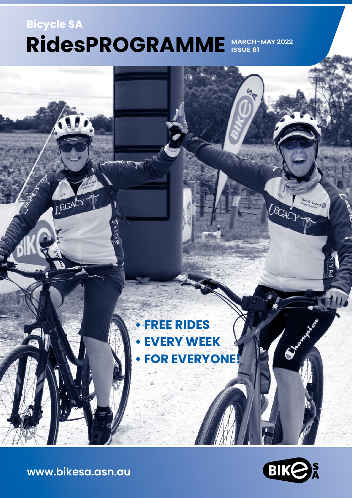# **Bicycle SA MARCH-MAY 2022 RidesPROGRAMME ISSUE 81**

# **• FREE RIDES • EVERY WEEK • FOR EVERYONE!**



LEGACY

**[www.bikesa.asn.au](http://www.bikesa.asn.au)**

LEGACY

 $\frac{1}{2}$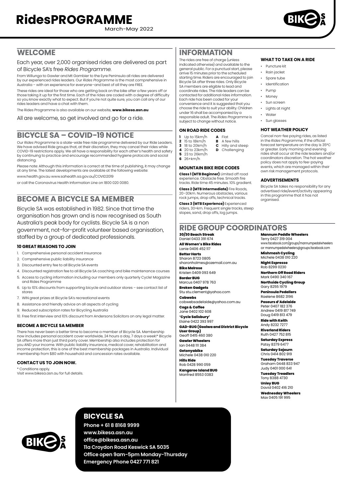March-May 2022



# **WELCOME**

Each year, over 2,000 organised rides are delivered as part of Bicycle SA's free *Rides Programme*.

From Willunga to Gawler and Mt Gambier to the Eyre Peninsula all rides are delivered by our experienced rides leaders. Our *Rides Programme* is the most comprehensive in Australia – with an experience for everyone–and best of all they are FREE.

These rides are ideal for those who are getting back on the bike after a few years off or those taking it up for the first time. Each of the rides are coded with a degree of difficulty so you know exactly what to expect. But if you're not quite sure, you can call any of our rides leaders and have a chat with them.

The Rides Programme is also available on our website, **[www.bikesa.asn.au](http://www.bikesa.asn.au)**

All are welcome, so get involved and go for a ride.

# **BICYCLE SA – COVID-19 NOTICE**

Our *Rides Programme* is a state-wide free ride programme delivered by our Ride Leaders. We have advised Ride groups that, at their discretion, they may cancel their rides while COVID-19 restrictions apply. We all have a responsibility for each other's health and safety by continuing to practice and encourage recommended hygiene protocols and social distancing.

Please note: Although this information is correct at the time of publishing, it may change at any time. The latest developments are available at the following website:

www.health.gov.au www.sahealth.sa.gov.au/COVID2019

or call the Coronavirus Health Information Line on 1800 020 0080.

# **BECOME A BICYCLE SA MEMBER**

Bicycle SA was established in 1982. Since that time the organisation has grown and is now recognised as South Australia's peak body for cyclists. Bicycle SA is a non government, not–for–profit volunteer based organisation, staffed by a group of dedicated professionals.

#### **10 GREAT REASONS TO JOIN**

- 1. Comprehensive personal accident insurance
- 2. Comprehensive public liability insurance
- 3. Discounted entry fee to all Bicycle SA events
- 4. Discounted registration fee to all Bicycle SA coaching and bike maintenance courses
- 5. Access to cycling information including our members only quarterly Cycle! Magazine and Rides Programme
- 6. Up to 10% discounts from supporting bicycle and outdoor stores see contact list of stores
- 7. WIN great prizes at Bicycle SA's recreational events
- 8. Assistance and friendly advice on all aspects of cycling
- 9. Reduced subscription rates for Bicycling Australia
- 10. Free first interview and 10% discount from Andersons Solicitors on any legal matter.

#### **BECOME A BICYCLE SA MEMBER**

There has never been a better time to become a member of Bicycle SA. Membership now includes personal accident cover worldwide, 24 hours a day, 7 days a week!\* Bicycle SA offers more than just third party cover. Membership also includes protection for you AND your income. With public liability insurance, medical cover, rehabilitation and income protection, this is one of the best membership packages in Australia. Individual membership from \$80 with household and concession rates available.

#### **CONTACT US TO JOIN NOW.**

\* Conditions apply.

Visit [www.bikesa.asn.au](http://www.bikesa.asn.au) for full details.

# **INFORMATION**

The rides are free of charge (unless indicated otherwise) and available to the general public. For a punctual start, please arrive 15 minutes prior to the scheduled starting time. Riders are encouraged to join Bicycle SA after three rides. Only Bicycle SA members are eligible to lead and coordinate rides. The ride leaders can be contacted for additional rides information. Each ride has been coded for your convenience and it is suggested that you choose the ride to suit your ability. Children under 16 shall be accompanied by a responsible adult. The *Rides Programme* is subject to change without notice.

#### **ON ROAD RIDE CODES**

- - - $\overline{p}$  Challenging
	-
- **6** 26+km/h

#### **MOUNTAIN BIKE RIDE CODES**

**Class 1 (MTB Beginner)** Limited off road experience. Obstacle free. Smooth fire

**Class 2 (MTB Intermediate)** Fire Roads, 20–30km. Numerous obstacles, various

slopes, sand, drop offs, log jumps.

**WHAT TO TAKE ON A RIDE**

- Puncture kit
- Rain jacket
- Spare tube
- Identification
- Pump • Money
- Sun screen
- Lights at night
- Water
- Sun glasses

#### **HOT WEATHER POLICY**

Cancel non-fee paying rides, as listed in the *Rides Programme*, if the official forecast temperature on the day is 35°C or greater. Early morning and evening rides shall occur at the ride leaders and/or coordinators discretion. The hot weather policy does not apply to fee-paying events, which are managed within their own risk management protocols.

#### **ADVERTISEMENTS**

Bicycle SA takes no responsibility for any advertised ride/event/activity appearing in this programme that it has not organised.

# **RIDE GROUP COORDINATORS**

**Mannum Peddle Wheelers** Terry 0427 319 004

[www.facebook.com/groups/mannumpedalwheelers](http://www.facebook.com/groups/mannumpedalwheelers) or [mannumpedalwheelers@groups.facebook.com](mailto:mannumpedalwheelers@groups.facebook.com)

**Mishmash Cycling** Michele 0438 010 220

**Night Espresso** Rob 8299 0230

**Northern Off Road Riders** Mark 0490 340 167

**Northside Cycling Group** Gary 8255 1979

**Peninsula Pedallers** Raelene 8682 3196

**Poseurs d'Adelaide** Peter 0407 182 376 Andrew 0419 817 749

Doug 0419 813 479 **Ride with Keith** Andy 8232 7277

**Riverland Riders** Ruth 0427 752 815

**Saturday Express** Patsy 8379 6477

**Saturday Sojourn** Chris 0414 802 919 **Tuesday Traverse**

Graham 0448 833 947 Judy 0401 000 641 **Tuesday Treadlers** Tony 8388 4730 **Unley BUG** David 0402 416 210

**Wednesday Wheelers** Max 0405 191 995



# **BICYCLE SA**

**Phone + 61 8 8168 9999 [www.bikesa.asn.au](http://www.bikesa.asn.au) [office@bikesa.asn.au](mailto:office@bikesa.asn.au) 11a Croydon Road Keswick SA 5035 Office open 9am-5pm Monday-Thursday Emergency Phone 0427 771 821**

**1** Up to 15km/h **A** Flat **2** 15 to 18km/h **B** A few hills<br>**3** 18 to 20km/h **C** Hilly and s **3** 18 to 20km/h **C** Hilly and steep<br>**4** 20 to 23km/h **D** Challenaina

- **5** 23 to 26km/h
- 

tracks. Ride time 45 minutes. 10% gradient.

rock jumps, drop offs, technical tracks.

**Class 3 (MTB Experience)** Experienced riders, 30+km. Frequent single tracks, steep

**30/30 Beach Streak** Daniel 0433 391 674 **All Women's Bike Rides** Lanie 0406 452 117

**Better Harts** Sharon 8723 0805 [sharonholmes@ozemail.com.au](mailto:sharonholmes@ozemail.com.au)

**Bike Melrose** Kristen 0409 093 649 **Border BUG**

Marcus 0407 978 763 **Broken Gadgets**

Stu [stu.clement@yahoo.com](mailto:stu.clement@yahoo.com) **Cobwebs**

[cobwebsadelaide@yahoo.com.au](mailto:cobwebsadelaide@yahoo.com.au) **Cogs & Coffee**

Jane 0402 102 608 **'Cycle Salisbury'**

Elaine 0422 393 997 **GAD-BUG (Goolwa and District Bicycle** 

**User Group)** Geoff 0415 460 380 **Gawler Wheelers**

Ian 0448 111 384 **Getonyabike** Michele 0438 010 220

**Hills Ride** Rob 0428 990 059 **Kangaroo Island BUG** Manfred 8553 0383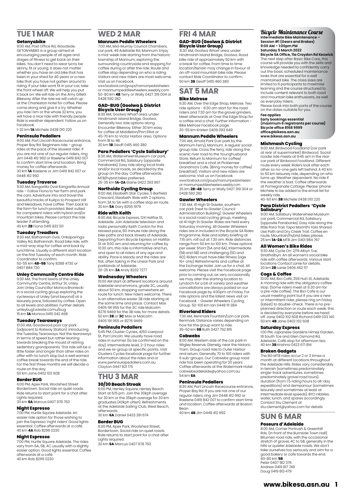# **TUE 1 MAR**

#### **Getonyabike**

9:00 AM, Post Office Rd, Woodside. GETONYABIKE is a group aimed at encouraging people of all ages and stages of fitness to get back on their bikes. You don't need to wear lycra, be skinny, fit or young. It does not matter whether you have an old bike that has been in your shed for 40 years or a new bike that you have not gotten around to riding. If your bike wont fit in your car, take the front wheel off. We will help you put it back on. We will ride on the Amy Gillett Bikeway. After the ride we will catch up at the Charleston Hotel for coffee. Please come along and give it a try. Whether you ride 1 km or the whole 32 kms, you yea has named and misite the wind of the will have a nice ride with friendly people. Ride is weather dependent. Follow us on Facebook. 1-32 km **1A** Michele 0438 010 220

#### **Peninsula Pedallers**

9:00 AM, Port Lincoln Racecourse entrance, Proper Bay Rd. Beginners ride – group rides at the pace of the slowest rider. If you are not one of our regular riders, ring Jim 0448 412 992 or Raelene 0419 842 007 to confirm start time and location. Bring money for coffee afterwards. 30 km **1A** Raelene or Jim 0419 842 007 or 0448 412 992

#### **Tuesday Traverse**

9:30 AM, Kangarilla Oval Kangarilla Annual ride – Follow Fiona to her farm and park the cars. Adventure into and travel the beautiful tracks of Kuitpo to Prospect Hill and Meadows, have coffee. Then back to the farm for lunch provided. Best suited for competent riders with hybrid and/or mountain bikes. Please contact the ride leader if attending. 40 km **2B** Fiona 0415 832 511

#### **Tuesday Treadlers**

9:30 AM, Balhannah Oval, Onkaparinga Valley Rd, Balhannah. Road bike ride, with a mid-way stop for coffee and back by lunchtime. Usually a different start location on the first Tuesday of each month. Ride Coordinator to confirm. 50-55 km **4B-5B** Tony 8388 4730 or

0407 884 730

### **Unley Community Centre Ride**

9:30 AM, The front lawns of the Unley Community Centre, Arthur St, Unley. Join Unley Councillor Monica Broniecki in a social cycling group exploring the cycleways of Unley (and beyond) at a leisurely pace, followed by coffee. Open to all levels and abilities. Further details unleybug1.wixsite.comu/bug 15 km **1A** Monica 0415 042 468

#### **Tuesday Tearaways**

10:00 AM, Goodwood pool car park<br>(adjacent to Railway Station). Introducing<br>the Tuesday Tearaways. Not the tearaways in terms of speed but rather leaning towards breaking the mould of retiring sedentary grandparents. This ride will be a little faster and longer than other rides on offer with no lunch stop but a well earned coffee break towards the end of the ride. For the first three months we will decide a route on the day. 50 km Jane 0402 102 608

#### **Border BUG**

6:00 PM, Apex Park, Woolshed Street Bordertown. Social ride on quiet roads. Ride returns to start point for a chat after. Lights required. 30 km **6A** Marcus 0407 978 763

#### **Night Espresso**

7:00 PM, Hurtle Square Adelaide. An easier ride option for those wishing to join the Espresso 'night riders' Good lights essential. Coffee afterwards at a café. 40 km **4A** Rob 8299 0230

#### **Night Espresso**

7:00 PM, Hurtle Square Adelaide. The rides vary from 6A, 5B, 4C usually with a slightly easier option. Good lights essential. Coffee afterwards at a café. 40 km Rob 8299 0230

# **WED 2 MAR**

**Mannum Peddle Wheelers**

7:00 AM, Mid-Murray Council Chambers, car park, 49 Adelaide Rd, Mannum. Enjoy a mid-week ride starting from the historic township of Mannum, exploring the surrounding countryside and stopping for coffee during or after the ride. Route and coffee stop depending on who is riding. Visitors and new riders are most welcome. Visit us on Facebook. www.facebook.com/groups/mannumpedalwheelers or mannumpeddlewheelers.weebly.com 50-80 km **4B** Terry or Wally 0427 319 004 or 0428 592 282

# **GAD-BUG (Goolwa & District Bicycle User Group)**

8:30 AM, Goolwa Wharf area, under Hindmarsh Island Bridge, Goolwa. Generally two ride options along Encounter Bikeway. Either 30 km easy for coffee at Middleton/Port Elliot or 45-70 km to Victor Harbor area. Options from IR to AR. 30 km **1B** Geoff 0415 460 380

#### **Para Pedallers 'Cycle Salisbury'** 8:30 AM, Waterwheel Museum car park,

Commercial Rd, Salisbury (opposite Parabanks). Easy ride along local trails and/or local roads, as decided by the group on the day. Coffee afterwards. MTB/hybrid bikes preferred.

25-35 km **1A-2A** Elaine 0422 393 997 **Northside Cycling Group**

#### 9:00 AM, Elizabeth Star Cycles, 5 Barfield Crescent, Elizabeth. Ride with 2 options, from 3A to 5A with a coffee stop en route. 30 km **5A** Gary 8255 1979

#### **Ride with Keith**

9:00 AM, Bicycle Express, 124 Halifax St, Adelaide. Join Adelaide television and radio personality Keith Conlon for this relaxed pace, 90 minute ride along the bike paths and back streets of Adelaide. Departing from Bicycle Express on Halifax St at 9:00 am and returning for coffee by 10:30 am, this ride is informative and fun. and open to all riders of any age and ability. Pace is steady and the rides are flat, often taking in the Linear Park and parklands of Adelaide. 20-25 km **3A** Andy 8232 7277

#### **Wednesday Wheelers**

10:00 AM start at different locations around Adelaide and environs, grade 3C, usually about 50 km, stopping somewhere en route for lunch. New riders welcome. There is an alternative easier 3B ride starting at the same time and place. Contact Max 0405 191 955 for the 3C ride Malcolm 8276 9469 for the 3B ride, for more details. 50 km **3B** or **3C** Max or Malcolm 0405 191 955 or 8276 9469

#### **Peninsula Pedallers**

5:45 PM, Cluster Cycles, 4/60 Liverpool St, Port Lincoln. We usually have road rides in summer (to be confirmed on the day). Intermediate level, 2-3 hour rides and we re-group at specific points. Visit Clusters Cycles facebook page for further information about the rides and or www.peninsulapedallers.com.au Clayton 0447 821 175

# **THU 3 MAR**

#### **30/30 Beach Streak**

6:00 PM, Henley Square, Henley Beach. Start at 6:15 pm. Join the 30kph average for 30 km or the 35kph average for 30 km graduates (40kph often). Refreshments at the Adelaide Sailing Club, West Beach, afterwards.

### 30 km **6A** Daniel 0433 391 674

#### **Border BUG**

6:00 PM, Apex Park, Woolshed Street, Bordertown. Social ride on quiet roads. Ride returns to start point for a chat after. Lights required. 30 km **6A** Marcus 0407 978 763

## **FRI 4 MAR**

#### **GAD-BUG (Goolwa & District Bicycle User Group)**

Hindmarsh Island Bridge, Goolwa. Road bike ride of approximately 50 km with a break for coffee. From time to time location/terrain may change in favour of an off-road mountain bike ride. Please contact Ride Coordinator to confirm. 50 km **3B** Geoff 0415 460 380 8:30 AM, Goolwa Wharf area, under

# **SAT 5 MAR**

### **Bike Melrose**

6:30 AM, Over the Edge Shop, Melrose. Two ride options - 6:30 am start for the road riders and 7:30 am for the gravel grinders. Meet afterwards at Over the Edge Shop for a coffee and a chat. Further information - Bike Melrose Facebook page. 20-55 km Kristen 0409 093 649

#### **Mannum Peddle Wheelers**

7:00 AM, Arnold Park (car park by the Mannum Ferry), Mannum. A regular social group ride. Cross the ferry, ride along the scenic river road to the Younghusband Store. Return to Mannum for coffee/ breakfast and a chat at Picklemee Grandma's Cafe. (Bring money for coffee/ breakfast). Visitors and new riders are welcome. Visit us on Facebook.

www.facebook.com/groups/mannumpedalwheelers or mannumpeddlewheelers.weebly.com 35 km **2B-4B** Terry or Wally 0427 319 004 or 0428 592 282

#### **Gawler Wheelers**

7:30 AM, 41 High St Gawler, southern car park (next to Gawler Council Administration Building). Gawler Wheelers is a social road cycling group, meeting at 41 High St Gawler. Rides are held every Saturday morning. All Gawler Wheelers rides are in included in the Bicycle SA Rides Programme. Ride and safety briefing at 7:15 am, roll out at 7.30 am. Ride distances range from 50 km to 100 km. Three options per week: Short (5A and 6A), Intermediate (5B and 6B) and challenging (5D and 6D). Riders must have bike fitness (age 16+ only) Refreshments and coffee at the Exchange Hotel. Join us for a chat. All welcome. Please visit the Facebook page prior to coming out, as very occasionally we may alter the starting location to Lyndoch for a bit of variety and weather cancellations are always posted on our Facebook page by 4:00pm on Friday. For ride options and the latest news visit on Facebook – Gawler Wheelers Cycling Group. 50-100 km Ian 0448 111 384

**Riverland Riders**<br>**730 AM Penmark Fountain/Lion car park** 7:30 AM, Renmark Fountain/Lion car park, Renmark. Distance varies depending on how far the group want to ride. 35-50 km **6B** Ruth 0427 752 815

#### **Cobwebs**

8:00 AM, Western side of the car park in Wigley Reserve, Glenelg, near the Historic<br>Tram. Group road ride to Outer Harbor Tram. Group road ride to Outer Harbor and return. Generally 70 to 100 riders with 6 sub-groups. Our Cobwebs group road ride has been operating for 20 years. Coffee afterwards at the Watermark Hotel. cobwebsadelaide@yahoo.com.au 54 km **6A**

#### **Peninsula Pedallers**

8:30 AM, Port Lincoln Racecourse entrance, Proper Bay Rd. If you are not one of our regular riders, ring Jim 0448 412 992 or Raelene 0419 842 007 to confirm start time and location. Coffee afterwards at Boston Bean.

40 km **4B** Jim 0448 412 992

#### Bicycle Maintenance Course **Intermediate Bike Maintenance – Session #1 (Gears and Brakes) 9:00 AM – 1:00pm PM Saturday 5 March 2022**

**Bicycle SA Office, 11a Croydon Rd Keswick** The next step after Basic Bike Care, this course will provide you with the skills and knowledge needed to confidently carry out the basic scheduled maintenance tasks that are essential for a well maintained bike. The class sizes are limited to 6 participants to maximise learning and the course structured to include content relevant to both road

and mountain bike enthusiasts, as well as everyday riders. Please book into both parts of the course

on the dates suitable for you. **Fee applies**

**Early bookings essential (maximum 6 registrants per course) Bicycle office 8168 9999 office@bikesa.asn.au www.bikesa.asn.au**

## **Mishmash Cycling**

9:00 AM, Birdwood Foodland (car park at rear of supermarket) Birdwood. Social roadie ride meets at 8:45 am in the rear car park of Birdwood Foodland. Different route every week. Riders look after each other so no-one gets left behind. A 40 km to 60 km leisurely ride, depending on who turns up. Weather dependent. No ride if the weather is bad. Coffee afterwards at Pomegranate Cottage. Please 'phone Michele to be added to the email list for weekly ride. 40-60 km **3B** Michele 0438 010 220

## **Para District Pedallers 'Cycle Salisbury'** 9:00 AM, Salisbury Waterwheel Museum

car park, Commercial Rd, Salisbury (opposite Parabanks). Easy ride along the little Para Trail, Tapa Marinthi Yala Shared Use Path and Dry Creek Trail. Coffee en route. Mountain/hybrid bikes please. 25 km **1A-2A** MTB Jim 0401 984 767

#### **All Women's Bike Rides**

9:30 AM, Cycle On' 2/19 Albyn Tce, Strathalbyn. An all women's social bike ride with coffee afterwards. Various start locations Contact Lanie for details. 20 km **2B** Lanie 0406 452 117

#### **Cogs & Coffee**

10:00 AM, Bici Café, 259 Hutt St, Adelaide. A morning ride with the obligatory coffee stop. (Some riders meet at 9.30 am for a pre-ride coffee). The Bici Cafe is our usual meeting point but if you are a new or intermittent rider, please ring on Friday (latest) to double-check. There is no preplanned direction or route each week; this is decided by everyone before we head off. Jane 0402 102 608 Richard 0419 033 140 50 km **4B** Jane 0402 102 608

#### **Saturday Express**

1:00 PM, Japanese Gardens Himeji Garden, 18 South Tce and Glen Osmond Rd, Adelaide. Café stop for afternoon tea. 40 km **3B** Krishna 0423 671 814

**Broken Gadgets** The BG MTB rides occur 2 or 3 times a month at different locations throughout the Adelaide Hills. Rides vary considerably in terrain (sometimes predominately single-track adventures, sometimes predominately gravel road tours), duration (from 1.5 riding hours to all-day expeditions) and demeanour (sometimes leisurely and sometimes at least at intermediate level speeds). BYO nibbles water, lunch, and spares accordingly. Contact Stu Clement at stu.clement@yahoo.com for details

# **SUN 6 MAR**

**Poseurs d'Adelaide** 8:00 AM, Corner Portrush & Greenhill Rds. (in front of the Burnside Town Hall). Bitumen road ride, with the occasional stretch of gravel, 4C to 5B, generally in the hills or quieter Adelaide roads. We don't take ourselves too seriously and aim for a good bakery or cafe towards the end. 60-80 km **5B** Peter 0407 182 376 Andrew 0419 817 749 Doug 0419 813 479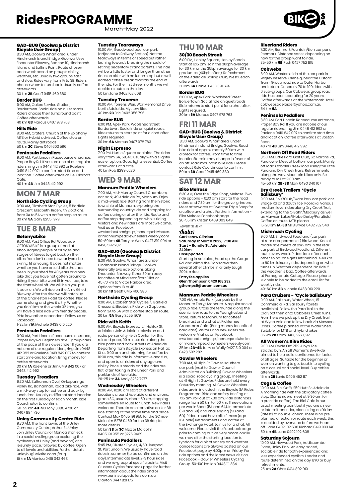March-May 2022

# **GAD-BUG (Goolwa & District Bicycle User Group)**

8:30 AM, Goolwa Wharf area, under Hindmarsh Island Bridge, Goolwa. Uses Encounter Bikeway, Beacon 19, Hindmarsh Island and Laffins Point. Route chosen each week based on group's ability, weather, etc. Usually two groups, fast and slow. Rides vary from 1A to 3B. Riders choose when to turn back. Usually coffee afterwards. 30 km **2B** Geoff 0415 460 380

#### **Border BUG**

9:00 AM, Caltex Service Station, Bordertown. Social ride on quiet roads. Riders choose their turnaround point. Coffee afterwards.

### 40 km **6B** Marcus 0407 978 763

**Hills Ride** 9:00 AM, Crafers. Church of the Epiphany. MTB or Hybrid advised. Coffee stop en route. Mainly dirt roads. 50 km **2C** Steve 0401 603 596

#### **Peninsula Pedallers**

9:00 AM, Port Lincoln Racecourse entrance, Proper Bay Rd. If you are one of our regular riders, ring Jim 0448 412 992 or Raelene 0419 842 007 to confirm start time and location. Coffee afterwards at Del Giorno's Café.

40 km **4B** Jim 0448 412 992

# **MON 7 MAR**

**Northside Cycling Group** 9:00 AM, Elizabeth Star Cycles, 5 Barfield Crescent, Elizabeth. Ride with 2 options, from 3A to 5A with a coffee stop en route. 30 km **5A** Gary 8255 1979

# **TUE 8 MAR**

## **Getonyabike**

9:00 AM, Post Office Rd, Woodside. GETONYABIKE is a group aimed at encouraging people of all ages and stages of fitness to get back on their bikes. You don't need to wear lycra, be skinny, fit or young. It does not matter whether you have an old bike that has been in your shed for 40 years or a new bike that you have not gotten around to riding. If your bike wont fit in your car, take the front wheel off. We will help you put it back on. We will ride on the Amy Gillett Bikeway. After the ride we will catch up at the Charleston Hotel for coffee. Please come along and give it a try. Whether you ride 1 km or the whole 32 kms, you will have a nice ride with friendly people. Ride is weather dependent. Follow us on Facebook.

1-32 km **1A** Michele 0438 010 220

#### **Peninsula Pedallers**

9:00 AM, Port Lincoln Racecourse entrance, Proper Bay Rd. Beginners ride - group rides at the pace of the slowest rider. If you are<br>not one of our regular riders, ring Jim 0448<br>412 992 or Raelene 0419 842 007 to confirm<br>start time and location. Bring money for coffee afterwards.

30 km **1A** Raelene or Jim 0419 842 007 or 0448 412 992

#### **Tuesday Treadlers**

9:30 AM, Balhannah Oval, Onkaparinga Valley Rd, Balhannah. Road bike ride, with a mid-way stop for coffee and back by lunchtime. Usually a different start location on the first Tuesday of each month. Ride Coordinator to confirm. 50-55 km **4B-5B** Tony 8388 4730 or

0407 884 730

#### **Unley Community Centre Ride** 9:30 AM, The front lawns of the Unley

Community Centre, Arthur St, Unley. Join Unley Councillor Monica Broniecki in a social cycling group exploring the cycleways of Unley (and beyond) at a leisurely pace, followed by coffee. Open to all levels and abilities. Further details unleybug1.wixsite.comu/bug 15 km **1A** Monica 0415 042 468

#### **Tuesday Tearaways**

10:00 AM, Goodwood pool car park (adjacent to Railway Station). Not the tearaways in terms of speed but rather leaning towards breaking the mould of retiring sedentary grandparents. This ride will be a little faster and longer than other rides on offer with no lunch stop but a well earned coffee break towards the end of the ride. For the first three months we will decide a route on the day. 50 km Jane 0402 102 608

#### **Tuesday Traverse**

10:00 AM, Torrens Weir, War Memorial Drive,<br>North Adelaide Mystery Ride North Adelaide. Mystery Ride. 40 km **2B** Eric 0402 356 796

#### **Border BUG**

6:00 PM, Apex Park, Woolshed Street Bordertown. Social ride on quiet roads. Ride returns to start point for a chat after. Lights required. 30 km **6A** Marcus 0407 978 763

#### **Night Espresso**

7:00 PM, Hurtle Square Adelaide. The rides vary from 6A, 5B, 4C usually with a slightly easier option. Good lights essential. Coffee afterwards at a café. 40 km Rob 8299 0230

# **WED 9 MAR**

#### **Mannum Peddle Wheelers**

7:00 AM, Mid-Murray Council Chambers, car park, 49 Adelaide Rd, Mannum. Enjoy a mid-week ride starting from the historic township of Mannum, exploring the surrounding countryside and stopping for coffee during or after the ride. Route and coffee stop depending on who is riding. Visitors and new riders are most welcome. Visit us on Facebook.

www.facebook.com/groups/mannumpedalwheelers or mannumpeddlewheelers.weebly.com 50-80 km **4B** Terry or Wally 0427 319 004 or 0428 592 282

# **GAD-BUG (Goolwa & District Bicycle User Group)** 8:30 AM, Goolwa Wharf area, under

Hindmarsh Island Bridge, Goolwa. Generally two ride options along Encounter Bikeway. Either 30 km easy for coffee at Middleton/Port Elliot or 45-70 km to Victor Harbor area. Options from 1B to 4B. 30 km **1B** Geoff 0415 460 380

**Northside Cycling Group** 9:00 AM, Elizabeth Star Cycles, 5 Barfield S.00 Airly Elizabeth. Ride with 2 options, from 3A to 5A with a coffee stop en route. 30 km **5A** Gary 8255 1979

#### **Ride with Keith**

9:00 AM, Bicycle Express, 124 Halifax St, Adelaide. Join Adelaide television and radio personality Keith Conlon for this relaxed pace, 90 minute ride along the bike paths and back streets of Adelaide. Departing from Bicycle Express on Halifax St at 9:00 am and returning for coffee by 10:30 am, this ride is informative and fun, and open to all riders of any age and ability. Pace is steady and the rides are flat, often taking in the Linear Park and parklands of Adelaide. 20-25 km **3A** Andy 8232 7277

#### **Wednesday Wheelers**

10:00 AM, 10:00 am start at different locations around Adelaide and environs, grade 3C, usually about 50 km, stopping somewhere en route for lunch. New riders welcome. There is an alternative easier 3B ride starting at the same time and place. Contact Max 0405 191 955 for the 3C ride Malcolm 8276 9469 for the 3B ride, for more details.

50 km **3B** or **3C** Max or Malcolm 0405 191 955 or 8276 9469

#### **Peninsula Pedallers**

5:45 PM, Cluster Cycles, 4/60 Liverpool St, Port Lincoln. We usually have road rides in summer (to be confirmed on the day). Intermediate level, 2-3 hour rides and we re-group at specific points. Visit Clusters Cycles facebook page for further information about the rides and or www.peninsulapedallers.com.au Clayton 0447 821 175

## **THU 10 MAR 30/30 Beach Streak**

6:00 PM, Henley Square, Henley Beach. Start at 6:15 pm. Join the 30kph average for 30 km or the 35kph average for 30 km graduates (40kph often). Refreshments at the Adelaide Sailing Club, West Beach, afterwards.

30 km **6A** Daniel 0433 391 674 **Border BUG**

6:00 PM, Apex Park, Woolshed Street, Bordertown. Social ride on quiet roads. Ride returns to start point for a chat after.

Lights required. 30 km **6A** Marcus 0407 978 763

# **FRI 11 MAR GAD-BUG (Goolwa & District Bicycle User Group)** 8:30 AM, Goolwa Wharf area, under

Hindmarsh Island Bridge, Goolwa. Road bike ride of approximately 50 km with a break for coffee. From time to time location/terrain may change in favour of an off-road mountain bike ride. Please contact Ride Coordinator to confirm. 50 km **3B** Geoff 0415 460 380

# **SAT 12 MAR**

### **Bike Melrose**

6:30 AM, Over the Edge Shop, Melrose. Two ride options – 6:30 am start for the road riders and 7:30 am for the gravel grinders. Meet afterwards at Over the Edge Shop for a coffee and a chat. Further information - Bike Melrose Facebook page. 20-55 km Kristen 0409 093 649

ADVERTISEMENT

#### Audax **Corkscrew Climber**

**Saturday 12 March 2022, 7:00 AM Start – Rundle St, Adelaide 240km**

## **Unsupported**

Starting in Adelaide, head up the Gorge Rd. and climb the Corkscrew then several other climbs in a fairly tough 200km ride. **Entry fee applies**

# **Glen Thompson 0429 168 232 gthomps5@adam.com.au**

#### **Mannum Peddle Wheelers**

7:00 AM, Arnold Park (car park by the Mannum Ferry), Mannum. A regular social group ride. Cross the ferry, ride along the scenic river road to the Younghusband Store. Return to Mannum for coffee/ breakfast and a chat at Picklemee Grandma's Cafe. (Bring money for coffee/ breakfast). Visitors and new riders are welcome. Visit us on Facebook. www.facebook.com/groups/mannumpedalwheelers or mannumpeddlewheelers.weebly.com 35 km **2B-4B** Terry or Wally 0427 319 004 or 0428 592 282

#### **Gawler Wheelers**

7:30 AM, 41 High St Gawler, southern car park (next to Gawler Council Administration Building). Gawler Wheelers is a social road cycling group, meeting at 41 High St Gawler. Rides are held every Saturday morning. All Gawler Wheelers rides are in included in the Bicycle SA Rides Programme. Ride and safety briefing at 7:15 am, roll out at 7.30 am. Ride distances range from 50 km to 100 km. Three options per week: Short (5A and 6A), Intermediate (5B and 6B) and challenging (5D and 6D). Riders must have bike fitness (age 16+ only) Refreshments and coffee at the Exchange Hotel. Join us for a chat. All welcome. Please visit the Facebook page prior to coming out, as very occasionally we may alter the starting location to Lyndoch for a bit of variety and weather cancellations are always posted on our Facebook page by 4:00pm on Friday. For ride options and the latest news visit on Facebook – Gawler Wheelers Cycling Group. 50-100 km Ian 0448 111 384

#### **Riverland Riders**

7:30 AM, Renmark Fountain/Lion car park, Renmark. Distance varies depending on how far the group want to ride. 35-50 km **6B** Ruth 0427 752 815

#### **Cobwebs**

8:00 AM, Western side of the car park in Wigley Reserve, Glenelg, near the Historic Tram. Group road ride to Outer Harbor and return. Generally 70 to 100 riders with 6 sub-groups. Our Cobwebs group road ride has been operating for 20 years. Coffee afterwards at the Watermark Hotel. cobwebsadelaide@yahoo.com.au 54 km **6A**

**Peninsula Pedallers** 8:30 AM, Port Lincoln Racecourse entrance, Proper Bay Rd. If you are not one of our regular riders, ring Jim 0448 412 992 or Raelene 0419 842 007 to confirm start time and location. Coffee afterwards at Boston Bean. 40 km **4B** Jim 0448 412 992

# **Northern Off Road Riders**

8:50 AM, Little Para Golf Club, 62 Martins Rd, Paralowie. Meet at bottom car park. Mainly off road Cobbler Creek loop using the Little Para and Dry Creek trails. Refreshments along the way. Mountain bikes only. Be ready to roll at 9:00 am.

45-50 km **2B-3B** Mark 0490 340 167

# **Dry Creek Trailers 'Cycle**

**Salisbury'** 9:00 AM, BMX/Club/Skate Park car park, cnr. Bridge Rd and South Tce, Pooraka. Various medium level rides along Dry Creek Trail, extending to the O Bahn/Modbury as well as Mawson Lakes/Globe Derby/Parafield. Coffee en route. MTB please. 15-20 km **1A-3B** MTB Bryce 0432 732 540

**Mishmash Cycling** 9:00 AM, Birdwood Foodland (car park at rear of supermarket) Birdwood. Social roadie ride meets at 8:45 am in the rear car park of Birdwood Foodland. Different route every week. Riders look after each other so no-one gets left behind. A 40 km to 60 km leisurely ride, depending on who turns up. Weather dependent. No ride if the weather is bad. Coffee afterwards at Pomegranate Cottage. Please 'phone Michele to be added to the email list for weekly ride.

40-60 km **3B** Michele 0438 010 220

### **Para Cruizers - 'Cycle Salisbury'**

9:00 AM, Salisbury Water Wheel, 81 Commercial Rd, Salisbury (toilets available). Follow the Para Trail to the Old Spot then onto Cobblers Creek ruins. From here we pick up the Dry Creek Trail at Wynn Vale and follow back via Mawson Lakes. Coffee planned at the Water Shed. Suitable for MTB and hybrid bikes. 35 km **2B** Cam 0468 927 892

### **All Women's Bike Rides**

9:30 AM, Cycle On' 2/19 Albyn Tce, Strathalbyn. An all Women's Bike Ride aimed to help build confidence for ladies of all ages. Suitable for the beginner or women wanting to get back into cycling on a casual and social level. Buy coffee afterwards. 15 km **2B** Lanie 0406 452 117

## **Cogs & Coffee**

10:00 AM, Bici Café, 259 Hutt St, Adelaide. A morning ride with the obligatory coffee stop. (Some riders meet at 9.30 am for a pre-ride coffee). The Bici Cafe is our usual meeting point but if you are a new or intermittent rider, please ring on Friday (latest) to double-check. There is no preplanned direction or route each week; this is decided by everyone before we head off. Jane 0402 102 608 Richard 0419 033 140 50 km **4B** Jane 0402 102 608

#### **Saturday Sojourn**

10:00 AM, Heywood Park, Addiscombe Place, Unley Park. An easy paced, sociable ride for both experienced and less experienced cyclists. Leader and route determined on the day. BYO or buy refreshments. 25 km **2A** Chris 0414 802 919

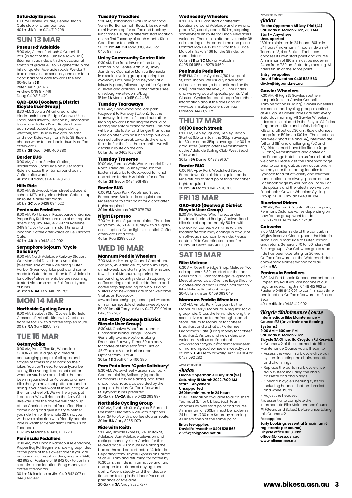#### **Saturday Express**

1:00 PM, Henley Square, Henley Beach. Café stop for afternoon tea. 40 km **3B** Peter 0414 719 296

# **SUN 13 MAR**

#### **Poseurs d'Adelaide**

8:00 AM, Corner Portrush & Greenhill Rds. (in front of the Burnside Town Hall). Bitumen road ride, with the occasional stretch of gravel, 4C to 5B, generally in the hills or quieter Adelaide roads. We don't take ourselves too seriously and aim for a good bakery or cafe towards the end. 60-80 km **5B** Peter 0407 182 376

Andrew 0419 817 749 Doug 0419 813 479

# **GAD-BUG (Goolwa & District Bicycle User Group)**

8:30 AM, Goolwa Wharf area, under Hindmarsh Island Bridge, Goolwa. Uses Encounter Bikeway, Beacon 19, Hindmarsh Island and Laffins Point. Route chosen each week based on group's ability weather, etc. Usually two groups, fast and slow. Rides vary from 1A to 3B. Riders choose when to turn back. Usually coffee afterwards.

30 km **2B** Geoff 0415 460 380

#### **Border BUG**

9:00 AM, Caltex Service Station, Bordertown. Social ride on quiet roads. Riders choose their turnaround point. Coffee afterwards. 40 km **6B** Marcus 0407 978 763

**Hills Ride**

9:00 AM, Birdwood. Main street adjacent school. MTB or Hybrid advised. Coffee stop en route. Mainly dirt roads. 50 km **2C** Joe 0429 694 022

#### **Peninsula Pedallers**

9:00 AM, Port Lincoln Racecourse entrance, Proper Bay Rd. If you are one of our regular riders, ring Jim 0448 412 992 or Raelene 0419 842 007 to confirm start time and location. Coffee afterwards at Del Giorno's Café.

40 km **4B** Jim 0448 412 992

#### **Semaphore Sojourn 'Cycle**

# **Salisbury'** 9:00 AM, North Adelaide Railway Station,

War Memorial Drive, North Adelaide. (Western side of rail. Ride along Outer Harbor Greenway, bike paths and some roads to Outer Harbor, then to Pt. Adelaide for coffee/refreshments before returning to start via same route. Suit for all types of bikes.

45 km **2A-4A** Ash 0416 719 785

# **MON 14 MAR**

**Northside Cycling Group** 9:00 AM, Elizabeth Star Cycles, 5 Barfield

Crescent, Elizabeth. Ride with 2 options, from 3A to 5A with a coffee stop en route. 30 km **5A** Gary 8255 1979

# **TUE 15 MAR**

#### **Getonyabike**

9:00 AM, Post Office Rd, Woodside. GETONYABIKE is a group aimed at encouraging people of all ages and stages of fitness to get back on their bikes. You don't need to wear lycra, be skinny, fit or young. It does not matter whether you have an old bike that has been in your shed for 40 years or a new bike that you have not gotten around to riding. If your bike wont fit in your car, take the front wheel off. We will help you put it back on. We will ride on the Amy Gillett Bikeway. After the ride we will catch up at the Charleston Hotel for coffee. Please come along and give it a try. Whether you ride 1 km or the whole 32 kms, you will have a nice ride with friendly people. Ride is weather dependent. Follow us on Facebook.

1-32 km **1A** Michele 0438 010 220

#### **Peninsula Pedallers**

9:00 AM, Port Lincoln Racecourse entrance, Proper Bay Rd. Beginners ride - group rides at the pace of the slowest rider. If you are not one of our regular riders, ring Jim 0448 412 992 or Raelene 0419 842 007 to confirm start time and location. Bring money for coffee afterwards.

30 km **1A** Raelene or Jim 0419 842 007 or 0448 412 992

#### **Tuesday Treadlers**

9:30 AM, Balhannah Oval, Onkaparinga Valley Rd, Balhannah. Road bike ride, with a mid-way stop for coffee and back by lunchtime. Usually a different start location on the first Tuesday of each month. Ride Coordinator to confirm. 50-55 km **4B-5B** Tony 8388 4730 or 0407 884 730

### **Unley Community Centre Ride**

9:30 AM, The front lawns of the Unley Community Centre, Arthur St, Unley. Join Unley Councillor Monica Broniecki in a social cycling group exploring the cycleways of Unley (and beyond) at a leisurely pace, followed by coffee. Open to all levels and abilities. Further details see unleybug1.wixsite.comu/bug 15 km **1A** Monica 0415 042 468

### **Tuesday Tearaways**

10:00 AM, Goodwood pool car park (adjacent to Railway Station). Not the tearaways in terms of speed but rather leaning towards breaking the mould of retiring sedentary grandparents. This ride will be a little faster and longer than other rides on offer with no lunch stop but a well earned coffee break towards the end of the ride. For the first three months we will decide a route on the day. 50 km Jane 0402 102 608

#### **Tuesday Traverse**

10:00 AM, Torrens Weir, War Memorial Drive, North Adelaide. Journey through the Eastern Suburbs to Goodwood for lunch and return to North Adelaide for coffee. 40 km **2B** Trevor 0434 961 488

#### **Border BUG**

6:00 PM, Apex Park, Woolshed Street Bordertown. Social ride on quiet roads. Ride returns to start point for a chat after. Lights required. 30 km **6A** Marcus 0407 978 763

#### **Night Espresso**

7:00 PM, Hurtle Square Adelaide. The rides vary from 6A, 5B, 4C usually with a slightly easier option. Good lights essential. Coffee afterwards at a café. 40 km Rob 8299 0230

# **WED 16 MAR**

#### **Mannum Peddle Wheelers**

7:00 AM, Mid-Murray Council Chambers, car park, 49 Adelaide Rd, Mannum. Enjoy a mid-week ride starting from the historic township of Mannum, exploring the surrounding countryside and stopping for coffee during or after the ride. Route and coffee stop depending on who is riding. Visitors and new riders are most welcome. Visit us on Facebook.

www.facebook.com/groups/mannumpedalwheelers or mannumpeddlewheelers.weebly.com 50-80 km **4B** Terry or Wally 0427 319 004 or 0428 592 282

# **GAD-BUG (Goolwa & District Bicycle User Group)**

8:30 AM, Goolwa Wharf area, under Hindmarsh Island Bridge, Goolwa. Generally two ride options along Encounter Bikeway. Either 30 km easy for coffee at Middleton/Port Elliot or 45-70 km to Victor Harbor area. Options from 1B to 4B. 30 km **1B** Geoff 0415 460 380

# **Para Pedallers 'Cycle Salisbury'** 8:30 AM, Waterwheel Museum car park,

Commercial Rd, Salisbury (opposite Parabanks). Easy ride along local trails and/or local roads, as decided by the group on the day. Coffee afterwards. MTB/hybrid bikes preferred. 25-35 km **1A-2A** Elaine 0422 393 997

#### **Northside Cycling Group**

9:00 AM, Elizabeth Star Cycles, 5 Barfield Crescent, Elizabeth. Ride with 2 options, from 3A to 5A with a coffee stop en route. 30 km **5A** Gary 8255 1979

#### **Ride with Keith**

9:00 AM, Bicycle Express, 124 Halifax St, Adelaide. Join Adelaide television and radio personality Keith Conlon for this relaxed pace, 90 minute ride along the bike paths and back streets of Adelaide. Departing from Bicycle Express on Halifax St at 9:00 am and returning for coffee by 10:30 am, this ride is informative and fun, and open to all riders of any age and ability. Pace is steady and the rides are flat, often taking in the Linear Park and parklands of Adelaide. 20-25 km **3A** Andy 8232 7277

#### **Wednesday Wheelers**

10:00 AM, 10:00 am start at different locations around Adelaide and environs, grade 3C, usually about 50 km, stopping somewhere en route for lunch. New riders welcome. There is an alternative easier 3B ride starting at the same time and place. Contact Max 0405 191 955 for the 3C ride Malcolm 8276 9469 for the 3B ride, for more details.

50 km **3B** or **3C** Max or Malcolm 0405 191 955 or 8276 9469

#### **Peninsula Pedallers**

5:45 PM, Cluster Cycles, 4/60 Liverpool St, Port Lincoln. We usually have road rides in summer (to be confirmed on the day). Intermediate level, 2-3 hour rides and we re-group at specific points. Visit Clusters Cycles facebook page for further information about the rides and or www.peninsulapedallers.com.au Clayton 0447 821 175

### **THU 17 MAR 30/30 Beach Streak**

#### 6:00 PM, Henley Square, Henley Beach. Start at 6:15 pm. Join the 30kph average for 30 km or the 35kph average for 30 km graduates (40kph often). Refreshments at the Adelaide Sailing Club, West Beach,

afterwards. 30 km **6A** Daniel 0433 391 674

#### **Border BUG**

6:00 PM, Apex Park, Woolshed Street, Bordertown. Social ride on quiet roads. Ride returns to start point for a chat after. Lights required. 30 km **6A** Marcus 0407 978 763

# **FRI 18 MAR**

# **GAD-BUG (Goolwa & District**

**Bicycle User Group)** 8:30 AM, Goolwa Wharf area, under Hindmarsh Island Bridge, Goolwa. Road bike ride of approximately 50 km witha break for coffee. From time to time location/terrain may change in favour of an off-road mountain bike ride. Please contact Ride Coordinator to confirm. 50 km **3B** Geoff 0415 460 380

# **SAT 19 MAR**

# **Bike Melrose**

6:30 AM, Over the Edge Shop, Melrose. Two ride options - 6:30 am start for the road riders and 7:30 am for the gravel grinders. Meet afterwards at Over the Edge Shop for a coffee and a chat. Further information - Bike Melrose Facebook page. 20-55 km Kristen 0409 093 649

#### **Mannum Peddle Wheelers**

7:00 AM, Arnold Park (car park by the Mannum Ferry), Mannum. A regular social group ride. Cross the ferry, ride along the scenic river road to the Younghusband Store. Return to Mannum for coffee/ breakfast and a chat at Picklemee Grandma's Cafe. (Bring money for coffee/ breakfast). Visitors and new riders are welcome. Visit us on Facebook.

www.facebook.com/groups/mannumpedalwheelers or mannumpeddlewheelers.weebly.com 35 km **2B-4B** Terry or Wally 0427 319 004 or 0428 592 282

#### ADVERTISEMENT Audax

**Fleche Opperman All Day Trial (SA) Saturday 19 March 2022, 7:00 AM Start – Anywhere Unsupported**

#### **360km minimum in 24 hours.**

FOADT Medallion available to all finishers. Teams of 3, 4 or 5 bikes. Each team chooses its own start point and course. A minimum of 360km must be ridden in 24 hrs from 7.30 am Saturday morning. All riders finish at the same point.

#### **Entry fee applies David Fairweather 0401 528 563 div.fw@bigpond.net.au**

**registrants per course) Bicycle office 8168 9999 office@bikesa.asn.au www.bikesa.asn.au**

this Course #2. **Fee applies**

#### ADVERTISEMENT Audax

#### **Fleche Opperman All Day Trial (SA) Saturday 19 March 2022, 7:30 AM Start – Anywhere Unsupported**

180km minimum in 24 hours. 180km in 24 hours (maximum 14 hours ride time). Teams of 3, 4 or 5 bikes. Each team chooses its own start point and course. A minimum of 180km must be ridden in 24hrs from 7.30 am Saturday morning. All riders finish at the same point.

#### **Entry fee applies David Fairweather 0401 528 563 div.fw@bigpond.net.au**

#### **Gawler Wheelers**

7:30 AM, 41 High St Gawler, southern car park (next to Gawler Council Administration Building). Gawler Wheelers is a social road cycling group, meeting at 41 High St Gawler. Rides are held every Saturday morning. All Gawler Wheelers rides are in included in the Bicycle SA Rides Programme. Ride and safety briefing at 7:15 am, roll out at 7.30 am. Ride distances range from 50 km to 100 km. Three options per week: Short (5A and 6A), Intermediate (5B and 6B) and challenging (5D and 6D). Riders must have bike fitness (age 16+ only) Refreshments and coffee at the Exchange Hotel. Join us for a chat. All welcome. Please visit the Facebook page prior to coming out, as very occasionally we may alter the starting location to Lyndoch for a bit of variety and weather cancellations are always posted on our Facebook page by 4:00pm on Friday. For ride options and the latest news visit on Facebook - Gawler Wheelers Cycling Group. 50-100 km Ian 0448 111 384

#### **Riverland Riders**

7:30 AM, Renmark Fountain/Lion car park, Renmark. Distance varies depending on how far the group want to ride. 35-50 km 6B Ruth 0427 752 815

#### **Cobwebs**

8:00 AM, Western side of the car park in Wigley Reserve, Glenelg, near the Historic Tram. Group road ride to Outer Harbor and return. Generally 70 to 100 riders with 6 sub-groups. Our Cobwebs group road ride has been operating for 20 years. Coffee afterwards at the Watermark Hotel. cobwebsadelaide@yahoo.com.au 54 km **6A**

#### **Peninsula Pedallers**

8:30 AM, Port Lincoln Racecourse entrance, Proper Bay Rd. If you are not one of our regular riders, ring Jim 0448 412 992 or Raelene 0419 842 007 to confirm start time and location. Coffee afterwards at Boston Bean.

40 km **4B** Jim 0448 412 992

#### Bicycle Maintenance Course

**Intermediate Bike Maintenance – Course #2 (Drive Train and Bearing Systems)**

#### **9:00 AM – 1:00pm PM Saturday 19 March 2022**

**Bicycle SA Office, 11a Croydon Rd Keswick** In Course #2 of the Intermediate Bike Maintenance Course you will learn to:

- Assess the wear in a bicycle drive train system including the chain, cassette and chain rings
- Replace the parts in a bicycle drive train system including the chain, cassette and chain rings
- Check a bicycle's bearing systems including headset, bottom bracket and wheel hubs

Intermediate Bike Maintenance Course #1 (Gears and Bakes) before undertaking

**Early bookings essential (maximum 6** 

**[www.bikesa.asn.au](http://www.bikesa.asn.au) 3**

• Adjust the headset It is essential to complete the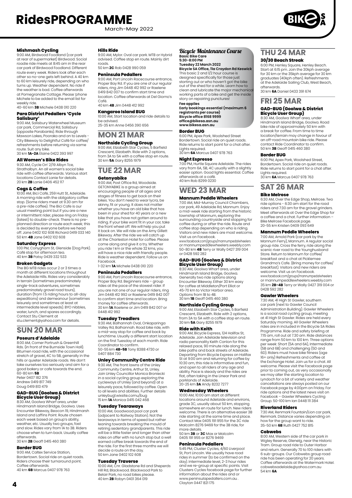March-May 2022

**Mishmash Cycling**<br>9:00 AM, Birdwood Foodland (car park at rear of supermarket) Birdwood. Social roadie ride meets at 8:45 am in the rear car park of Birdwood Foodland. Different route every week. Riders look after each other so no-one gets left behind. A 40 km to 60 km leisurely ride, depending on who turns up. Weather dependent. No ride if the weather is bad. Coffee afterwards at Pomegranate Cottage. Please 'phone Michele to be added to the email list for weekly ride. 40-60 km **3B** Michele 0438 010 220

# **Para District Pedallers 'Cycle**

**Salisbury'** 9:00 AM, Salisbury Waterwheel Museum car park, Commercial Rd, Salisbury (opposite Parabanks). Ride through Mawson Lakes, Pooraka and on to Levels - City Bikeway to Delightful Café for coffee/ refreshments before returning via same route. Suit any bike. 30 km **1A-2A** Elaine 0422 393 997

#### **All Women's Bike Rides**

9:30 AM, Cycle On' 2/19 Albyn Tce, Strathalbyn. An all women's social bike ride with coffee afterwards. Various start locations Contact Lanie for details. 20 km **2B** Lanie 0406 452 117

#### **Cogs & Coffee**

10:00 AM, Bici Café, 259 Hutt St, Adelaide. A morning ride with the obligatory coffee stop. (Some riders meet at 9.30 am for a pre-ride coffee). The Bici Cafe is our usual meeting point but if you are a new or intermittent rider, please ring on Friday (latest) to double-check. There is no preplanned direction or route each week; this is decided by everyone before we head off. Jane 0402 102 608 Richard 0419 033 140 50 km **4B** Jane 0402 102 608

#### **Saturday Express**

1:00 PM, Conygham St, Glenside (Dog Park). Café stop for afternoon tea. 40 km **3B** Patsy 0439 332 533

#### **Broken Gadgets**

The BG MTB rides occur 2 or 3 times a month at different locations throughout the Adelaide Hills. Rides vary considerably in terrain (sometimes predominately single-track adventures, sometimes predominately gravel road tours), duration (from 1.5 riding hours to all-day expeditions) and demeanour (sometimes leisurely and sometimes at least at intermediate level speeds). BYO nibbles, water, lunch, and spares accordingly. Contact Stu Clement at stu.clement@yahoo.com for details.

# **SUN 20 MAR**

#### **Poseurs d'Adelaide**

8:00 AM, Corner Portrush & Greenhill Rds. (in front of the Burnside Town Hall). Bitumen road ride, with the occasional stretch of gravel, 4C to 5B, generally in the hills or quieter Adelaide roads. We don't<br>take ourselves too seriously and aim for a take ourselves too seriously and aim for a good bakery or cafe towards the end. 60-80 km **5B** Peter 0407 182 376 Andrew 0419 817 749

Doug 0419 813 479

# **GAD-BUG (Goolwa & District Bicycle User Group)** 8:30 AM, Goolwa Wharf area, under

Hindmarsh Island Bridge, Goolwa. Uses Encounter Bikeway, Beacon 19, Hindmarsh Island and Laffins Point. Route chosen each week based on group's ability, weather, etc. Usually two groups, fast and slow. Rides vary from 1A to 3B. Riders choose when to turn back. Usually coffee afterwards. 30 km **2B** Geoff 0415 460 380

#### **Border BUG**

9:00 AM, Caltex Service Station, Bordertown. Social ride on quiet roads. Riders choose their turnaround point. Coffee afterwards.

### 40 km **6B** Marcus 0407 978 763

#### **Hills Ride**

9:00 AM, Mylor. Oval car park. MTB or Hybrid advised. Coffee stop en route. Mainly dirt roads. 50 km **2C** Rob 0428 990 059

## **Peninsula Pedallers**

9:00 AM, Port Lincoln Racecourse entrance, Proper Bay Rd. If you are one of our regular riders, ring Jim 0448 412 992 or Raelene 0419 842 007 to confirm start time and location. Coffee afterwards at Del Giorno's Café. 40 km **4B** Jim 0448 412 992

# **Kangaroo Island BUG**

10:00 AM, Start location and ride details to be advised.

25-35 km Anne 0456 390 656

# **MON 21 MAR**

**Northside Cycling Group** 9:00 AM, Elizabeth Star Cycles, 5 Barfield Crescent, Elizabeth. Ride with 2 options, from 3A to 5A with a coffee stop en route. 30 km **5A** Gary 8255 1979

# **TUE 22 MAR**

#### **Getonyabike**

9:00 AM, Post Office Rd, Woodside. GETONYABIKE is a group aimed at encouraging people of all ages and stages of fitness to get back on their bikes. You don't need to wear lycra, be skinny, fit or young. It does not matter whether you have an old bike that has been in your shed for 40 years or a new bike that you have not gotten around to riding. If your bike wont fit in your car, take the front wheel off. We will help you put it back on. We will ride on the Amy Gillett Bikeway. After the ride we will catch up at the Charleston Hotel for coffee. Please come along and give it a try. Whether you ride 1 km or the whole 32 kms, you will have a nice ride with friendly people. Ride is weather dependent. Follow us on Facebook. 1-32 km **1A** Michele 0438 010 220

#### **Peninsula Pedallers**

9:00 AM, Port Lincoln Racecourse entrance, Proper Bay Rd. Beginners ride – group rides at the pace of the slowest rider. If you are not one of our regular riders, ring Jim 0448 412 992 or Raelene 0419 842 007 to confirm start time and location. Bring money for coffee afterwards. 30 km **1A** Raelene or Jim 0419 842 007 or 0448 412 992

#### **Tuesday Treadlers**

9:30 AM, Balhannah Oval, Onkaparinga Valley Rd, Balhannah. Road bike ride, with a mid-way stop for coffee and back by lunchtime. Usually a different start location on the first Tuesday of each month. Ride Coordinator to confirm. 50-55 km **4B-5B** Tony 8388 4730 or 0407 884 730

#### **Unley Community Centre Ride**

9:30 AM, The front lawns of the Unley Community Centre, Arthur St, Unley. Join Unley Councillor Monica Broniecki in a social cycling group exploring the cycleways of Unley (and beyond) at a leisurely pace, followed by coffee. Open to all levels and abilities. Further details unleybug1.wixsite.comu/bug 15 km **1A** Monica 0415 042 468

#### **Tuesday Tearaways**

10:00 AM, Goodwood pool car park (adjacent to Railway Station). Not the tearaways in terms of speed but rather leaning towards breaking the mould of retiring sedentary grandparents. This ride will be a little faster and longer than other rides on offer with no lunch stop but a well earned coffee break towards the end of the ride. For the first three months we will decide a route on the day. 50 km Jane 0402 102 608

#### **Tuesday Traverse**

10:00 AM, Cnr. Gladstone Rd and Sheperds Hill Rd, Blackwood. Blackwood Park to Belair Park, no road bikes please. 40 km **2B** Robyn 0401 364 019

## Bicycle Maintenance Course **Basic Bike Care 5:30-8:00 PM**

**Tuesday 22 March 2022 Bicycle SA Office, 11a Croydon Rd Keswick** This basic 2 and 1/2 hour course is

designed specifically for those just starting out or who haven't got the bike out of the shed for a while. Learn how to clean and lubricate the major mechanical working parts of a bike and get the inside story on repairing punctures **Fee applies**

**Early bookings essential (maximum 6 registrants per course) Bicycle office 8168 9999 office@bikesa.asn.au [www.bikesa.asn.au](http://www.bikesa.asn.au)**

#### **Border BUG**

6:00 PM, Apex Park, Woolshed Street Bordertown. Social ride on quiet roads. Ride returns to start point for a chat after. Lights required.

30 km **6A** Marcus 0407 978 763

#### **Night Espresso**

7:00 PM, Hurtle Square Adelaide. The rides vary from 6A, 5B, 4C usually with a slightly easier option. Good lights essential. Coffee afterwards at a café. 40 km Rob 8299 0230

# **WED 23 MAR**

### **Mannum Peddle Wheelers**

7:00 AM, Mid-Murray Council Chambers, car park, 49 Adelaide Rd, Mannum. Enjoy a mid-week ride starting from the historic township of Mannum, exploring the surrounding countryside and stopping for coffee during or after the ride. Route and coffee stop depending on who is riding. Visitors and new riders are most welcome. Visit us on Facebook.

www.facebook.com/groups/mannumpedalwheelers or mannumpeddlewheelers.weebly.com 50-80 km **4B** Terry or Wally 0427 319 004 or 0428 592 282

# **GAD-BUG (Goolwa & District Bicycle User Group)** 8:30 AM, Goolwa Wharf area, under

Hindmarsh Island Bridge, Goolwa. Generally two ride options along Encounter Bikeway. Either 30 km easy for coffee at Middleton/Port Elliot or 45-70 km to Victor Harbor area. Options from 1B to 4B. 30 km **1B** Geoff 0415 460 380

**Northside Cycling Group** 9:00 AM, Elizabeth Star Cycles, 5 Barfield Crescent, Elizabeth. Ride with 2 options, from 3A to 5A with a coffee stop en route 30 km **5A** Gary 8255 1979

#### **Ride with Keith**

9:00 AM, Bicycle Express, 124 Halifax St, Adelaide. Join Adelaide television and radio personality Keith Conlon for this relaxed pace, 90 minute ride along the bike paths and back streets of Adelaide. Departing from Bicycle Express on Halifax St at 9:00 am and returning for coffee by 10:30 am, this ride is informative and fun, and open to all riders of any age and ability. Pace is steady and the rides are flat, often taking in the Linear Park and parklands of Adelaide. 20-25 km **3A** Andy 8232 7277

**Wednesday Wheelers**<br>10:00 AM, 10:00 am start at different<br>locations around Adelaide and environs, grade 3C, usually about 50 km, stopping somewhere en route for lunch. New riders welcome. There is an alternative easier 3B ride starting at the same time and place. Contact Max 0405 191 955 for the 3C ride Malcolm 8276 9469 for the 3B ride, for more details.

50 km **3B** or **3C** Max or Malcolm 0405 191 955 or 8276 9469

#### **Peninsula Pedallers**

5:45 PM, Cluster Cycles, 4/60 Liverpool St, Port Lincoln. We usually have road rides in summer (to be confirmed on the day). Intermediate level, 2-3 hour rides and we re-group at specific points. Visit Clusters Cycles facebook page for further information about the rides and or www.peninsulapedallers.com.au . Clayton 0447 821 175

# **THU 24 MAR**

#### **30/30 Beach Streak**

6:00 PM, Henley Square, Henley Beach. Start at 6:15 pm. Join the 30kph average for 30 km or the 35kph average for 30 km graduates (40kph often). Refreshments at the Adelaide Sailing Club, West Beach, afterwards.

30 km **6A** Daniel 0433 391 674

## **FRI 25 MAR**

#### **GAD-BUG (Goolwa & District Bicycle User Group)**

Hindmarsh Island Bridge, Goolwa. Road bike ride of approximately 50 km with a break for coffee. From time to time location/terrain may change in favour of an off-road mountain bike ride. Please contact Ride Coordinator to confirm. 50 km **3B** Geoff 0415 460 380 8:30 AM, Goolwa Wharf area, under

#### **Border BUG**

6:00 PM, Apex Park, Woolshed Street, Bordertown. Social ride on quiet roads. Ride returns to start point for a chat after. Lights required. 30 km **6A** Marcus 0407 978 763

#### **SAT 26 MAR Bike Melrose**

6:30 AM, Over the Edge Shop, Melrose. Two ride options - 6:30 am start for the road riders and 7:30 am for the gravel grinders. Meet afterwards at Over the Edge Shop for a coffee and a chat. Further information – Bike Melrose Facebook page. 20-55 km Kristen 0409 093 649

#### **Mannum Peddle Wheelers**

7:00 AM, Arnold Park (car park by the Mannum Ferry), Mannum. A regular social group ride. Cross the ferry, ride along the scenic river road to the Younghusband Store. Return to Mannum for coffee/ breakfast and a chat at Picklemee Grandma's Cafe. (Bring money for coffee/ breakfast). Visitors and new riders are welcome. Visit us on Facebook. www.facebook.com/groups/mannumpedalwheelers or mannumpeddlewheelers.weebly.com

35 km **2B-4B** Terry or Wally 0427 319 004 or 0428 592 282 **Gawler Wheelers**

7:30 AM, 41 High St Gawler, southern car park (next to Gawler Council Administration Building). Gawler Wheelers is a social road cycling group, meeting at 41 High St Gawler. Rides are held every Saturday morning. All Gawler Wheelers rides are in included in the Bicycle SA Rides Programme. Ride and safety briefing at 7:15 am, roll out at 7.30 am. Ride distances range from 50 km to 100 km. Three options per week: Short (5A and 6A), Intermediate (5B and 6B) and challenging (5D and 6D). Riders must have bike fitness (age 16+ only) Refreshments and coffee at the Exchange Hotel. Join us for a chat. All welcome. Please visit the Eacebook page prior to coming out, as very occasionally we may alter the starting location to Lyndoch for a bit of variety and weather cancellations are always posted on our Facebook page by 4:00pm on Friday. For ride options and the latest news visit on Facebook – Gawler Wheelers Cycling Group. 50-100 km Ian 0448 111 384

**Riverland Riders** 7:30 AM, Renmark Fountain/Lion car park, Renmark. Distance varies depending on how far the group want to ride. 35-50 km **6B** Ruth 0427 752 815

#### **Cobwebs**

8:00 AM, Western side of the car park in Wigley Reserve, Glenelg, near the Historic Tram. Group road ride to Outer Harbor and return. Generally 70 to 100 riders with 6 sub-groups. Our Cobwebs group road ride has been operating for 20 years. Coffee afterwards at the Watermark Hotel. cobwebsadelaide@yahoo.com.au 54 km **6A**

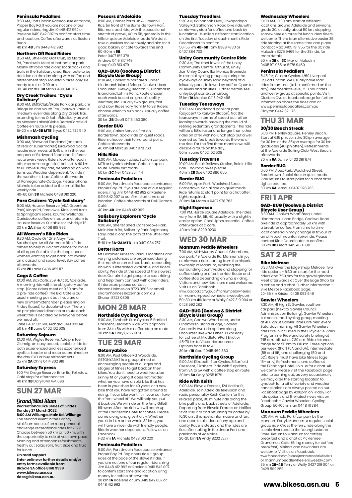#### **Peninsula Pedallers**

8:30 AM, Port Lincoln Racecourse entrance, Proper Bay Rd. If you are not one of our regular riders, ring Jim 0448 412 992 or Raelene 0419 842 007 to confirm start time and location. Coffee afterwards at Boston

Bean. 40 km **4B** Jim 0448 412 992

#### **Northern Off Road Riders**

8:50 AM, Little Para Golf Club, 62 Martins Rd, Paralowie. Meet at bottom car park. Mainly off road ride along local tracks and trails in the Salisbury area. Ride route to be decided on the day along with coffee and refreshment stop. Mountain bikes only. Be ready to roll at 9:00 am.

30-40 km **2B-3B** Mark 0490 340 167

# **Dry Creek Trailers 'Cycle**

**Salisbury'** 9:00 AM, BMX/Club/Skate Park car park, cnr Bridge Rd and South Tce, Pooraka. Various medium level rides along Dry Creek Trail, extending to the O Bahn/Modbury as well as Mawson Lakes/Globe Derby/Parafield. Coffee en route. MTB please.

15-20 km **1A-3B MTB** Bryce 0432 732 540

#### **Mishmash Cycling**

9:00 AM, Birdwood Foodland (car park at rear of supermarket) Birdwood. Social roadie ride meets at 8:45 am in the rear car park of Birdwood Foodland. Different route every week. Riders look after each other so no-one gets left behind. A 40 km to 60 km leisurely ride, depending on who turns up. Weather dependent. No ride if the weather is bad. Coffee afterwards at Pomegranate Cottage. Please 'phone Michele to be added to the email list for weekly ride. 40-60 km **3B** Michele 0438 010 220

**Para Cruizers 'Cycle Salisbury'** 9:00 AM, Hausler Reserve (AKA Greentree Park) Kings Rd, Paralowie. Ride local trails to Springbank Lakes, Kaurna Wetlands, Carisbooke, coffee en route and return to Hausler Reserve. Suitable for Hybrid/MTB. 30 km **2A** Brian 0408 818 993

#### **All Women's Bike Rides**

9:30 AM, Cycle On' 2/19 Albyn Tce, Strathalbyn. An all Women's Bike Ride aimed to help build confidence for ladies of all ages. Suitable for the beginner or women wanting to get back into cycling on a casual and social level. Buy coffee afterwards. 15 km **2B** Lanie 0406 452 117

## **Cogs & Coffee**

10:00 AM, Bici Café, 259 Hutt St, Adelaide. A morning ride with the obligatory coffee stop. (Some riders meet at 9.30 am for a pre-ride coffee). The Bici Cafe is our usual meeting point but if you are a new or intermittent rider, please ring on Friday (latest) to double-check. There is no pre-planned direction or route each week; this is decided by everyone before we head off

Jane 0402 102 608 Richard 0419 033 140 50 km **4B** Jane 0402 102 608

#### **Saturday Sojourn**

10:00 AM, Wigley Reserve, Adelphi Tce, Glenelg. An easy paced, sociable ride for both experienced and less experienced cyclists. Leader and route determined on the day. BYO or buy refreshments. 25 km **2A** Chris 0414 802 919

#### **Saturday Express**

1:00 PM, Drage Reserve, Briar Rd, Felixstow. Café stop for afternoon tea. 40 km **3B** Daryl 0411 474 096

## **SUN 27 MAR**

#### Grand/Mini Slam **Recreational Bike Series of 5 rides Sunday 27 March 2022**

**8:00 AM Willunga, Main Rd, Willunga** The second event in the Grand/ Mini Slam series of on road personal

challenge recreational rides for 2022. Choose between 50 km or 100 km, with the opportunity to ride at your own pace. Morning and afternoon refreshment freshly cut salad rolls, fruit slice and fruit for lunch.

**On road support Enter online or further details and/or entry forms available from: Bicycle SA office 8168 9999 [www.bikesa.asn.au](http://www.bikesa.asn.au) [rides@bikesa.asn.au](mailto:rides@bikesa.asn.au)**

#### **Poseurs d'Adelaide**

8:00 AM, Corner Portrush & Greenhill Rds. (in front of the Burnside Town Hall). Bitumen road ride, with the occasional stretch of gravel, 4C to 5B, generally in the hills or quieter Adelaide roads. We don't take ourselves too seriously and aim for a good bakery or cafe towards the end.

60-80 km **5B** Peter 0407 182 376 Andrew 0419 817 749 Doug 0419 813 479

# **GAD-BUG (Goolwa & District**

**Bicycle User Group)** 8:30 AM, Goolwa Wharf area, under Hindmarsh Island Bridge, Goolwa. Uses Encounter Bikeway, Beacon 19, Hindmarsh Island and Laffins Point. Route chosen each week based on group's ability, weather, etc. Usually two groups, fast and slow. Rides vary from 1A to 3B. Riders choose when to turn back. Usually coffee afterwards. 30 km **2B** Geoff 0415 460 380

## **Border BUG**

9:00 AM, Caltex Service Station, Bordertown. Social ride on quiet roads. Riders choose their turnaround point. Coffee afterwards. 40 km **6B** Marcus 0407 978 763

#### **Hills Ride**

9:00 AM, Mawson Lakes. Station car park. MTB or Hybrid advised. Coffee stop en route. Mainly dirt roads. 50 km **2C** Neil 0429 201 144

#### **Peninsula Pedallers**

9:00 AM, Port Lincoln Racecourse entrance, Proper Bay Rd. If you are one of our regular riders, ring Jim 0448 412 992 or Raelene 0419 842 007 to confirm start time and location. Coffee afterwards at Del Giorno's Café. 40 km **4B** Jim 0448 412 992

# **Salisbury Explorers 'Cycle Salisbury'**

9:00 AM, Shelter Shed, Carisbrooke Park, Main North Rd, Salisbury Park. Beginners/ Easy Ride along the path of the Little Para Trail.

5-10 km **1A-2A MTB** Jim 0401 984 767

#### **Better Harts**

Mt Gambier. Rides to various locations and varying distances are organised during the month on an ad hoc basis, depending on who is interested, available, and riders' ability. We ride at the speed of the slowest rider. Our aim to get people to start riding and help them connect with other riders. If interested please contact Sharon Holmes on 8723 0805 or email sharonholmes@ozemail.com.au Sharon 8723 0805

# **MON 28 MAR**

#### **Northside Cycling Group**

9:00 AM, Elizabeth Star Cycles, 5 Barfield Crescent, Elizabeth. Ride with 2 options, from 3A to 5A with a coffee stop en route. 30 km **5A** Gary 8255 1979

### **TUE 29 MAR Getonyabike**

9:00 AM, Post Office Rd, Woodside. GETONYABIKE is a group aimed at encouraging people of all ages and stages of fitness to get back on their bikes. You don't need to wear lycra, be skinny, fit or young. It does not matter whether you have an old bike that has been in your shed for 40 years or a new bike that you have not gotten around to riding. If your bike wont fit in your car, take the front wheel off. We will help you put it back on. We will ride on the Amy Gillett Bikeway. After the ride we will catch up at the Charleston Hotel for coffee. Please come along and give it a try. Whether you ride 1 km or the whole 32 kms, you will have a nice ride with friendly people. Ride is weather dependent. Follow us on Facebook. 1-32 km **1A** Michele 0438 010 220

#### **Peninsula Pedallers**

9:00 AM, Port Lincoln Racecourse entrance, Proper Bay Rd. Beginners ride – group rides at the pace of the slowest rider. If you are not one of our regular riders, ring Jim 0448 412 992 or Raelene 0419 842 007 to confirm start time and location. Bring money for coffee afterwards. 30 km **1A** Raelene or Jim 0419 842 007 or 0448 412 992

#### **Tuesday Treadlers**

9:30 AM, Balhannah Oval, Onkaparinga Valley Rd, Balhannah. Road bike ride, with a mid-way stop for coffee and back by lunchtime. Usually a different start location on the first Tuesday of each month. Ride Coordinator to confirm. 50-55 km **4B-5B** Tony 8388 4730 or 0407 884 730

#### **Unley Community Centre Ride**

9:30 AM, The front lawns of the Unley Community Centre, Arthur St, Unley. Join Unley Councillor Monica Broniecki in a social cycling group exploring the cycleways of Unley (and beyond) at a leisurely pace, followed by coffee. Open to all levels and abilities. Further details see unleybug1.wixsite.comu/bug 15 km **1A** Monica 0415 042 468

#### **Tuesday Tearaways**

10:00 AM, Goodwood pool car park (adjacent to Railway Station). Not the tearaways in terms of speed but rather leaning towards breaking the mould of retiring sedentary grandparents. This ride will be a little faster and longer than other rides on offer with no lunch stop but a well earned coffee break towards the end of the ride. For the first three months we will decide a route on the day. 50 km Jane 0402 102 608

#### **Tuesday Traverse**

10:00 AM, Belair Railway Station, Belair. Hills ride – no road bikes please. 40 km **2B** Sue 0402 880 655

#### **Border BUG**

6:00 PM, Apex Park, Woolshed Street Bordertown. Social ride on quiet roads. Ride returns to start point for a chat after. Lights required. 30 km **6A** Marcus 0407 978 763

#### **Night Espresso**

7:00 PM, Hurtle Square Adelaide. The rides vary from 6A, 5B, 4C usually with a slightly easier option. Good lights essential. Coffee afterwards at a café. 40 km Rob 8299 0230

# **WED 30 MAR**

#### **Mannum Peddle Wheelers**

7:00 AM, Mid-Murray Council Chambers, car park, 49 Adelaide Rd, Mannum. Enjoy a mid-week ride starting from the historic township of Mannum, exploring the surrounding countryside and stopping for coffee during or after the ride. Route and coffee stop depending on who is riding. Visitors and new riders are most welcome. Visit us on Facebook.

www.facebook.com/groups/mannumpedalwheelers or mannumpeddlewheelers.weebly.com 50-80 km **4B** Terry or Wally 0427 319 004 or 0428 592 282

#### **GAD-BUG (Goolwa & District Bicycle User Group)**

8:30 AM, Goolwa Wharf area, under Hindmarsh Island Bridge, Goolwa. Generally two ride options along Encounter Bikeway. Either 30 km easy for coffee at Middleton/Port Elliot or 45-70 km to Victor Harbor area. Options from 1B to 4B. 30 km **1B** Geoff 0415 460 380

#### **Northside Cycling Group**

9:00 AM, Elizabeth Star Cycles, 5 Barfield Crescent, Elizabeth. Ride with 2 options, from 3A to 5A with a coffee stop en route. 30 km **5A** Gary 8255 1979

**Ride with Keith**<br>9:00 AM, Bicycle Express, 124 Halifax St,<br>Adelaide. Join Adelaide television and radio personality Keith Conlon for this relaxed pace, 90 minute ride along the bike paths and back streets of Adelaide. Departing from Bicycle Express on Halifax St at 9:00 am and returning for coffee by 10:30 am, this ride is informative and fun, and open to all riders of any age and ability. Pace is steady and the rides are flat, often taking in the Linear Park and parklands of Adelaide.

20-25 km **3A** Andy 8232 7277

#### **Wednesday Wheelers**

10:00 AM, 10:00 am start at different locations around Adelaide and environs, grade 3C, usually about 50 km, stopping somewhere en route for lunch. New riders welcome. There is an alternative easier 3B ride starting at the same time and place. Contact Max 0405 191 955 for the 3C ride Malcolm 8276 9469 for the 3B ride, for more details.

50 km **3B** or **3C** Max or Malcolm 0405 191 955 or 8276 9469

#### **Peninsula Pedallers**

5:45 PM, Cluster Cycles, 4/60 Liverpool St, Port Lincoln. We usually have road rides in summer (to be confirmed on the day). Intermediate level, 2-3 hour rides and we re-group at specific points. Visit Clusters Cycles facebook page for further information about the rides and or www.peninsulapedallers.com.au Clayton 0447 821 175

# **THU 31 MAR**

### **30/30 Beach Streak**

6:00 PM, Henley Square, Henley Beach. Start at 6:15 pm. Join the 30kph average for 30 km or the 35kph average for 30 km graduates (40kph often). Refreshments at the Adelaide Sailing Club, West Beach, afterwards. 30 km **6A** Daniel 0433 391 674

### **Border BUG**

6:00 PM, Apex Park, Woolshed Street, Bordertown. Social ride on quiet roads. Ride returns to start point for a chat after. Lights required. 30 km **6A** Marcus 0407 978 763

# **FRI 1 APR**

## **GAD-BUG (Goolwa & District Bicycle User Group)** 8:30 AM, Goolwa Wharf area, under

Hindmarsh Island Bridge, Goolwa. Road bike ride of approximately 50 km with a break for coffee. From time to time location/terrain may change in favour of an off-road mountain bike ride. Please contact Ride Coordinator to confirm. 50 km **3B** Geoff 0415 460 380

# **SAT 2 APR**

#### **Bike Melrose**

6:30 AM, Over the Edge Shop, Melrose. Two ride options - 6:30 am start for the road riders and 7:30 am for the gravel grinders. Meet afterwards at Over the Edge Shop for a coffee and a chat. Further information – Bike Melrose Facebook page. 20-55 km Kristen 0409 093 649

#### **Gawler Wheelers**

7:30 AM, 41 High St Gawler, southern car park (next to Gawler Council Administration Building). Gawler Wheelers is a social road cycling group, meeting at 41 High St Gawler. Rides are held every Saturday morning. All Gawler Wheelers rides are in included in the Bicycle SA Rides Programme. Ride and safety briefing at 7:15 am, roll out at 7.30 am. Ride distances range from 50 km to 100 km. Three options per week: Short (5A and 6A), Intermediate (5B and 6B) and challenging (5D and 6D). Riders must have bike fitness (age 16+ only) Refreshments and coffee at the Exchange Hotel. Join us for a chat. All welcome. Please visit the Facebook page prior to coming out, as very occasionally we may alter the starting location to Lyndoch for a bit of variety and weather cancellations are always posted on our Facebook page by 4:00pm on Friday. For ride options and the latest news visit on Facebook – Gawler Wheelers Cycling Group. 50-100 km Ian 0448 111 384

#### **Mannum Peddle Wheelers**

7:30 AM, Arnold Park (car park by the Mannum Ferry), Mannum. A regular social group ride. Cross the ferry, ride along the scenic river road to the Younghusband Store. Return to Mannum for coffee/ breakfast and a chat at Picklemee Grandma's Cafe. (Bring money for coffee/ breakfast). Visitors and new riders are welcome. Visit us on Facebook. www.facebook.com/groups/mannumpedalwheelers or mannumpeddlewheelers.weebly.com 35 km **2B-4B** Terry or Wally 0427 319 004 or 0428 592 282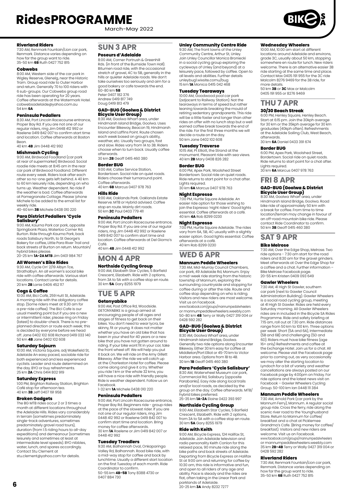March-May 2022

#### **Riverland Riders**

7:30 AM, Renmark Fountain/Lion car park, Renmark. Distance varies depending on how far the group want to ride. 35-50 km **6B** Ruth 0427 752 815

#### **Cobwebs**

8:00 AM, Western side of the car park in Wigley Reserve, Glenelg, near the Historic Tram. Group road ride to Outer Harbor and return. Generally 70 to 100 riders with 6 sub-groups. Our Cobwebs group road ride has been operating for 20 years. Coffee afterwards at the Watermark Hotel. cobwebsadelaide@yahoo.com.au 54 km **6A**

**Peninsula Pedallers** 8:30 AM, Port Lincoln Racecourse entrance, Proper Bay Rd. If you are not one of our regular riders, ring Jim 0448 412 992 or Raelene 0419 842 007 to confirm start time and location. Coffee afterwards at Boston Bean. 40 km **4B** Jim 0448 412 992

**Mishmash Cycling**

9:00 AM, Birdwood Foodland (car park at rear of supermarket) Birdwood. Social roadie ride meets at 8:45 am in the rear car park of Birdwood Foodland. Different route every week. Riders look after each other so no-one gets left behind. A 40 km to 60 km leisurely ride, depending on who turns up. Weather dependent. No ride if the weather is bad. Coffee afterwards at Pomegranate Cottage. Please 'phone Michele to be added to the email list for weekly ride.

40-60 km **3B** Michele 0438 010 220 **Para District Pedallers 'Cycle** 

**Salisbury'** 9:00 AM, Kaurna Park car park, opposite Springbank Plaza, Waterloo Corner Rd, Burton. Ride through Kaurna Park, back roads Salisbury North, to St George's Bakery for coffee, Little Para River Trail and back streets of Burton on return. Mountain/

hybrid bikes please. 20-25 km **1A-2A MTB** Jim 0401 984 767

#### **All Women's Bike Rides**

9:30 AM, Cycle On' 2/19 Albyn Tce, Strathalbyn. An all women's social bike ride with coffee afterwards. Various start locations. Contact Lanie for details. 20 km **2B** Lanie 0406 452 117

#### **Cogs & Coffee**

10:00 AM, Bici Café, 259 Hutt St, Adelaide. A morning ride with the obligatory coffee stop. (Some riders meet at 9.30 am for a pre-ride coffee). The Bici Cafe is our usual meeting point but if you are a new or intermittent rider, please ring on Friday (latest) to double-check. There is no preplanned direction or route each week; this is decided by everyone before we head off. Jane 0402 102 608 Richard 0419 033 140 50 km **4B** Jane 0402 102 608

**Saturday Sojourn** 10:00 AM, Victoria Square, adj Wakefield St, Adelaide An easy paced, sociable ride for both experienced and less experienced cyclists. Leader and route determined on the day. BYO or buy refreshments. 25 km **2A** Chris 0414 802 919

#### **Saturday Express**

1:00 PM, Brighton Railway Station, Brighton Café stop for afternoon tea. 40 km **3B** Jeff 0407 191 958

#### **Broken Gadgets**

The BG MTB rides occur 2 or 3 times a month at different locations throughout the Adelaide Hills. Rides vary considerably in terrain (sometimes predominately single-track adventures, sometimes predominately gravel road tours), duration (from 1.5 riding hours to all-day expeditions) and demeanour (sometimes leisurely and sometimes at least at intermediate level speeds). BYO nibbles, water, lunch, and spares accordingly Contact Stu Clement at stu.clement@yahoo.com for details.

# **SUN 3 APR**

#### **Poseurs d'Adelaide**

8:00 AM, Corner Portrush & Greenhill Rds. (in front of the Burnside Town Hall). Bitumen road ride, with the occasional stretch of gravel, 4C to 5B, generally in the hills or quieter Adelaide roads. We don't take ourselves too seriously and aim for a good bakery or cafe towards the end. 60-80 km **5B**

Peter 0407 182 376 Andrew 0419 817 749 Doug 0419 813 479

#### **GAD-BUG (Goolwa & District Bicycle User Group)**

8:30 AM, Goolwa Wharf area, under Hindmarsh Island Bridge, Goolwa. Uses Encounter Bikeway, Beacon 19, Hindmarsh Island and Laffins Point. Route chosen each week based on group's ability, weather, etc. Usually two groups, fast and slow. Rides vary from 1A to 3B. Riders choose when to turn back. Usually coffee afterwards. 30 km **2B** Geoff 0415 460 380

## **Border BUG**

9:00 AM, Caltex Service Station, Bordertown. Social ride on quiet roads. Riders choose their turnaround point. Coffee afterwards. 40 km **6B** Marcus 0407 978 763

**Hills Ride** 9:00 AM, Oaklands Park. Oaklands Estate Reserve. MTB or Hybrid advised. Coffee stop en route. Mainly dirt roads. 50 km **2C** Paul 0403 779 411

#### **Peninsula Pedallers**

9:00 AM, Port Lincoln Racecourse entrance, Proper Bay Rd. If you are one of our regular riders, ring Jim 0448 412 992 or Raelene 0419 842 007 to confirm start time and location. Coffee afterwards at Del Giorno's Café.

40 km **4B** Jim 0448 412 992

# **MON 4 APR**

**Northside Cycling Group** 9:00 AM, Elizabeth Star Cycles, 5 Barfield Crescent, Elizabeth. Ride with 2 options, from 3A to 5A with a coffee stop en route. 30 km **5A** Gary 8255 1979

# **TUE 5 APR**

#### **Getonyabike**

9:00 AM, Post Office Rd, Woodside. GETONYABIKE is a group aimed at encouraging people of all ages and stages of fitness to get back on their bikes. You don't need to wear lycra, be skinny, fit or young. It does not matter whether you have an old bike that has been in your shed for 40 years or a new bike that you have not gotten around to riding. If your bike wont fit in your car, take the front wheel off. We will help you put it back on. We will ride on the Amy Gillett Bikeway. After the ride we will catch up at the Charleston Hotel for coffee. Please come along and give it a try. Whether you ride 1 km or the whole 32 kms, you will have a nice ride with friendly people. Ride is weather dependent. Follow us on Facebook.

1-32 km **1A** Michele 0438 010 220

#### **Peninsula Pedallers**

9:00 AM, Port Lincoln Racecourse entrance, Proper Bay Rd. Beginners ride - group rides at the pace of the slowest rider. If you are not one of our regular riders, ring Jim 0448 412 992 or Raelene 0419 842 007 to confirm start time and location. Bring money for coffee afterwards. 30 km **1A** Raelene or Jim 0419 842 007 or 0448 412 992

#### **Tuesday Treadlers**

9:30 AM, Balhannah Oval, Onkaparinga Valley Rd, Balhannah. Road bike ride, with a mid-way stop for coffee and back by lunchtime. Usually a different start location on the first Tuesday of each month. Ride Coordinator to confirm.

50-55 km **4B-5B** Tony 8388 4730 or 0407 884 730

#### **Unley Community Centre Ride**

9:30 AM, The front lawns of the Unley Community Centre, Arthur St, Unley. Join Unley Councillor Monica Broniecki in a social cycling group exploring the cycleways of Unley (and beyond) at a leisurely pace, followed by coffee. Open to all levels and abilities. Further details unleybug1.wixsite.comu/bug 15 km **1A** Monica 0415 042 468

#### **Tuesday Tearaways**

10:00 AM, Goodwood pool car park (adjacent to Railway Station). Not the tearaways in terms of speed but rather leaning towards breaking the mould of retiring sedentary grandparents. This ride will be a little faster and longer than other rides on offer with no lunch stop but a well earned coffee break towards the end of the ride. For the first three months we will decide a route on the day. 50 km Jane 0402 102 608

#### **Tuesday Traverse**

10:15 AM, Pt Elliott, the Strand at the monument. Pleasant ride with sea views. 40 km **2B** Mary 0408 826 282

#### **Border BUG**

6:00 PM, Apex Park, Woolshed Street Bordertown. Social ride on quiet roads. Ride returns to start point for a chat after. Lights required. 30 km **6A** Marcus 0407 978 763

#### **Night Espresso**

7:00 PM, Hurtle Square Adelaide. An easier ride option for those wishing to join the Espresso 'night riders' Good lights essential. Coffee afterwards at a café. 40 km **4A** Rob 8299 0230

#### **Night Espresso**

7:00 PM, Hurtle Square Adelaide. The rides vary from 6A, 5B, 4C usually with a slightly easier option. Good lights essential. Coffee afterwards at a café. 40 km Rob 8299 0230

# **WED 6 APR**

## **Mannum Peddle Wheelers**

7:30 AM, Mid-Murray Council Chambers, car park, 49 Adelaide Rd, Mannum. Enjoy a mid-week ride starting from the historic township of Mannum, exploring the surrounding countryside and stopping for coffee during or after the ride. Route and coffee stop depending on who is riding. Visitors and new riders are most welcome. Visit us on Facebook.

www.facebook.com/groups/mannumpedalwheelers or mannumpeddlewheelers.weebly.com 50-80 km **4B** Terry or Wally 0427 319 004 or 0428 592 282

## **GAD-BUG (Goolwa & District Bicycle User Group)** 8:30 AM, Goolwa Wharf area, under

Hindmarsh Island Bridge, Goolwa. Generally two ride options along Encounter Bikeway. Either 30 km easy for coffee at Middleton/Port Elliot or 45-70 km to Victor Harbor area. Options from 1B to 4B. 30 km **1B** Geoff 0415 460 380

### **Para Pedallers 'Cycle Salisbury'**

8:30 AM, Waterwheel Museum car park Commercial Rd, Salisbury (opposite Parabanks). Easy ride along local trails and/or local roads, as decided by the group on the day. Coffee afterwards. MTB/ hybrid bikes preferred. 25-35 km **1A-2A** Elaine 0422 393 997

**Northside Cycling Group** 9:00 AM, Elizabeth Star Cycles, 5 Barfield Crescent, Elizabeth. Ride with 2 options, from 3A to 5A with a coffee stop en route. 30 km **5A** Gary 8255 1979

#### **Ride with Keith**

9:00 AM, Bicycle Express, 124 Halifax St, Adelaide. Join Adelaide television and radio personality Keith Conlon for this relaxed pace, 90 minute ride along the bike paths and back streets of Adelaide. Departing from Bicycle Express on Halifax St at 9:00 am and returning for coffee by 10:30 am, this ride is informative and fun, and open to all riders of any age and ability. Pace is steady and the rides are flat, often taking in the Linear Park and parklands of Adelaide.

20-25 km **3A** Andy 8232 7277

#### **Wednesday Wheelers**

10:00 AM, 10:00 am start at different locations around Adelaide and environs, grade 3C, usually about 50 km, stopping somewhere en route for lunch. New riders welcome. There is an alternative easier 3B ride starting at the same time and place. Contact Max 0405 191 955 for the 3C ride Malcolm 8276 9469 for the 3B ride, for mateur details. 50 km **3B** or **3C** Max or Malcolm

0405 191 955 or 8276 9469

# **THU 7 APR**

## **30/30 Beach Streak**

6:00 PM, Henley Square, Henley Beach. Start at 6:15 pm. Join the 30kph average for 30 km or the 35kph average for 30 km graduates (40kph often). Refreshments at the Adelaide Sailing Club, West Beach, afterwards.

30 km **6A** Daniel 0433 391 674

#### **Border BUG**

6:00 PM, Apex Park, Woolshed Street, Bordertown. Social ride on quiet roads. Ride returns to start point for a chat after. Lights required. 30 km **6A** Marcus 0407 978 763

# **FRI 8 APR**

#### **GAD-BUG (Goolwa & District Bicycle User Group)**

8:30 AM, Goolwa Wharf area, under<br>Hindmarsh Island Bridge, Goolwa. Road bike ride of approximately 50 km with a break for coffee. From time to time location/terrain may change in favour of an off-road mountain bike ride. Please contact Ride Coordinator to confirm. 50 km **3B** Geoff 0415 460 380

### **SAT 9 APR**

**Bike Melrose** 7:30 AM, Over the Edge Shop, Melrose. Two ride options - 7:30 am start for the road riders and 8:30 am for the gravel grinders. Meet afterwards at Over the Edge Shop for a coffee and a chat. Further information – Bike Melrose Facebook page. 20-55 km Kristen 0409 093 649

#### **Gawler Wheelers**

7:30 AM, 41 High St Gawler, southern car park (next to Gawler Council Administration Building). Gawler Wheelers is a social road cycling group, meeting at 41 High St Gawler. Rides are held every Saturday morning. All Gawler Wheelers rides are in included in the Bicycle SA Rides Programme. Ride and safety briefing at 7:15 am, roll out at 7.30 am. Ride distances<br>This am, roll out at 7.30 am. Ride distances range from 50 km to 100 km. Three options per week: Short (5A and 6A), Intermediate (5B and 6B) and challenging (5D and 6D). Riders must have bike fitness (age 16+ only) Refreshments and coffee at the Exchange Hotel. Join us for a chat. All welcome. Please visit the Facebook page prior to coming out, as very occasionally we may alter the starting location to Lyndoch for a bit of variety and weather cancellations are always posted on our Facebook page by 4:00pm on Friday. For ride options and the latest news visit on Facebook – Gawler Wheelers Cycling Group. 50-100 km Ian 0448 111 384

## **Mannum Peddle Wheelers**

7:30 AM, Arnold Park (car park by the Mannum Ferry), Mannum. A regular social group ride. Cross the ferry, ride along the scenic river road to the Younghusband Store. Return to Mannum for coffee/ breakfast and a chat at Picklemee Grandma's Cafe. (Bring money for coffee/ breakfast). Visitors and new riders are welcome. Visit us on Facebook. www.facebook.com/groups/mannumpedalwheelers<br>or mannumpeddlewheelers weebly.com or mannumpeddlewheelers.weebly.com 35 km **2B-4B** Terry or Wally 0427 319 004 or 0428 592 282

#### **Riverland Riders**

7:30 AM, Renmark Fountain/Lion car park, Renmark. Distance varies depending on how far the group want to ride. 35-50 km **6B** Ruth 0427 752 815

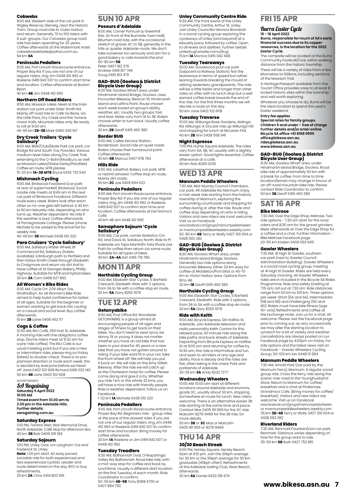#### **Cobwebs**

8:00 AM, Western side of the car park in Wigley Reserve, Glenelg, near the Historic Tram. Group road ride to Outer Harbor and return. Generally 70 to 100 riders with 6 sub-groups. Our Cobwebs group road ride has been operating for 20 years. Coffee afterwards at the Watermark Hotel. cobwebsadelaide@yahoo.com.au 54 km **6A**

#### **Peninsula Pedallers**

8:30 AM, Port Lincoln Racecourse entrance, Proper Bay Rd. If you are not one of our regular riders, ring Jim 0448 412 992 or Raelene 0419 842 007 to confirm start time and location. Coffee afterwards at Boston **Bean** 

### 40 km **4B** Jim 0448 412 992

### **Northern Off Road Riders**

8:50 AM, Mawson Lakes. Meet at the train station car park under Elder Smith Rd. Mainly off road ride to Café Va Bene, via the Little Para, Dry Creek and the Torrens Linear trails. Mountain bikes only. Be ready to roll at 9:00 am.

45-65 km **2B-3B** Mark 0490 340 167

# **Dry Creek Trailers 'Cycle Salisbury'**

9:00 AM, BMX/Club/Skate Park car park, cnr Bridge Rd and South Tce, Pooraka. Various medium level rides along Dry Creek Trail,<br>extending to the O-Bahn/Modbury as well as Mawson Lakes/Globe Derby/Parafield. Coffee en route. MTB please.

15-20 km **1A-3B MTB** Bryce 0432 732 540

#### **Mishmash Cycling**

9:00 AM, Birdwood Foodland (car park at rear of supermarket) Birdwood. Social roadie ride meets at 8:45 am in the rear car park of Birdwood Foodland. Different route every week. Riders look after each other so no-one gets left behind. A 40 km to 60 km leisurely ride, depending on who turns up. Weather dependent. No ride if the weather is bad. Coffee afterwards at Pomegranate Cottage. Please 'phone Michele to be added to the email list for weekly ride 40-60 km **3B** Michele 0438 010 220

**Para Cruizers 'Cycle Salisbury'**

9:00 AM, Salisbury Water Wheel, 81 Commercial Rd, Salisbury (toilets available). Edinburgh path to Penfield and then follow Smith Creek through Elizabeth to Craigmore and return via dirt trail to have coffee at St Georges Bakery, Phillip Highway. Suitable for MTB and hybrid bikes. 35 km **2A** Cam 0468 927 892

#### **All Women's Bike Rides**

9:30 AM, Cycle On' 2/19 Albyn Tce, Strathalbyn. An all Women's Bike Ride aimed to help build confidence for ladies of all ages. Suitable for the beginner or women wanting to get back into cycling on a casual and social level. Buy coffee afterwards.

15 km **2B** Lanie 0406 452 117

### **Cogs & Coffee**

10:00 AM, Bici Café, 259 Hutt St, Adelaide. A morning ride with the obligatory coffee stop. (Some riders meet at 9.30 am for a pre-ride coffee). The Bici Cafe is our usual meeting point but if you are a new or intermittent rider, please ring on Friday (latest) to double-check. There is no preplanned direction or route each week; this is decided by everyone before we head off. Jane 0402 102 608 Richard 0419 033 140 50 km **4B** Jane 0402 102 608

**ADVERTISEMENT** 

#### SA Rogaining **Saturday 9 April 2022 10:00 AM Timed event from 10.00 am to**

**2.00 pm in the Adelaide Hills. Further details: sarogaining.com.au**

### **Saturday Express**

1:00 PM, Torrens Weir, War Memorial Drive, North Adelaide. Café stop for afternoon tea. 40 km **3B** Bob 0409 091 183

#### **Saturday Sojourn**

1:00 PM, Unley Oval, cnr Langham Tce and

Frederick St, Unley<br>**Note:** 1.00 pm start. An easy paced, sociable ride for both experienced and less experienced cyclists. Leader and route determined on the day. BYO or buy

refreshments. 25 km **2A** Chris 0414 802 919

# **SUN 10 APR**

#### **Poseurs d'Adelaide**

8:00 AM, Corner Portrush & Greenhill Rds. (in front of the Burnside Town Hall). Bitumen road ride, with the occasional stretch of gravel, 4C to 5B, generally in the hills or quieter Adelaide roads. We don't take ourselves too seriously and aim for a good bakery or cafe towards the end. 60-80 km **5B**

Peter 0407 182 376 Andrew 0419 817 749 Doug 0419 813 479

# **GAD-BUG (Goolwa & District Bicycle User Group)**

8:30 AM, Goolwa Wharf area, under Hindmarsh Island Bridge, Goolwa. Uses Encounter Bikeway, Beacon 19, Hindmarsh Island and Laffins Point. Route chosen each week based on group's ability, weather, etc. Usually two groups, fast and slow. Rides vary from 1A to 3B. Riders choose when to turn back. Usually coffee afterwards. 30 km **2B** Geoff 0415 460 380

## **Border BUG**

9:00 AM, Caltex Service Station, Bordertown. Social ride on quiet roads. Riders choose their turnaround point. Coffee afterwards. 40 km **6B** Marcus 0407 978 763

## **Hills Ride**

9:00 AM, Lobethal. Bakery car park. MTB or Hybrid advised. Coffee stop en route. Mainly dirt roads. 50 km **2C** Joe 0429 694 022

#### **Peninsula Pedallers**

9:00 AM, Port Lincoln Racecourse entrance, Proper Bay Rd. If you are one of our regular riders, ring Jim 0448 412 992 or Raelene 0419 842 007 to confirm start time and location. Coffee afterwards at Del Giorno's Café. 40 km 4B Jim 0448 412 992

# **Semaphore Sojourn 'Cycle Salisbury'**

9:00 AM, Car park, corner Waterloo Cnr. Rd. and Davis St, Salisbury North. Ride to Pt Adelaide via Tapa Martinthi Yala Share Use Path for coffee then return via same route. Suitable for all types of bikes. 40 km **2A-4A** Ash 0416 719 785

# **MON 11 APR**

## **Northside Cycling Group**

9:00 AM, Elizabeth Star Cycles, 5 Barfield Crescent, Elizabeth. Ride with 2 options, from 3A to 5A with a coffee stop en route. 30 km **5A** Gary 8255 1979

### **TUE 12 APR Getonyabike**

9:00 AM, Post Office Rd, Woodside. GETONYABIKE is a group aimed at encouraging people of all ages and stages of fitness to get back on their bikes. You don't need to wear lycra, be skinny, fit or young. It does not matter whether you have an old bike that has been in your shed for 40 years or a new bike that you have not gotten around to riding. If your bike wont fit in your car, take the front wheel off. We will help you put it back on. We will ride on the Amy Gillett Bikeway. After the ride we will catch up at the Charleston Hotel for coffee. Please come along and give it a try. Whether you ride 1 km or the whole 32 kms, you will have a nice ride with friendly people. Ride is weather dependent. Follow us on Facebook.

1-32 km **1A** Michele 0438 010 220

#### **Peninsula Pedallers**

9:00 AM, Port Lincoln Racecourse entrance, Proper Bay Rd. Beginners ride - group rides at the pace of the slowest rider. If you are not one of our regular riders, ring Jim 0448 412 992 or Raelene 0419 842 007 to confirm start time and location. Bring money for coffee afterwards.

30 km **1A** Raelene or Jim 0419 842 007 or 0448 412 992

#### **Tuesday Treadlers**

9:30 AM, Balhannah Oval, Onkaparinga Valley Rd, Balhannah. Road bike ride, with a mid-way stop for coffee and back by lunchtime. Usually a different start location on the first Tuesday of each month. Ride Coordinator to confirm. 50-55 km **4B-5B** Tony 8388 4730 or

0407 884 730

#### **Unley Community Centre Ride**

9:30 AM, The front lawns of the Unley Community Centre, Arthur St, Unley. Join Unley Councillor Monica Broniecki in a social cycling group exploring the cycleways of Unley (and beyond) at a leisurely pace, followed by coffee. Open to all levels and abilities. Further details unleybug1.wixsite.comu/bug 15 km **1A** Monica 0415 042 468

#### **Tuesday Tearaways**

10:00 AM, Goodwood pool car park (adjacent to Railway Station). Not the tearaways in terms of speed but rather leaning towards breaking the mould of retiring sedentary grandparents. This ride will be a little faster and longer than other rides on offer with no lunch stop but a well earned coffee break towards the end of the ride. For the first three months we will decide a route on the day. 50 km Jane 0402 102 608

#### **Tuesday Traverse**

10:00 AM, Willunga Rose Gardens, Aldinga Rd, Willunga. A circular ride up Willunga Hill and stopping for lunch at McLaren Flat. 40 km **2B** Ann 0438 558 941

#### **Night Espresso**

7:00 PM, Hurtle Square Adelaide. The rides vary from 6A, 5B, 4C usually with a slightly easier option. Good lights essential. Coffee afterwards at a café. 40 km Rob 8299 0230

# **WED 13 APR**

#### **Mannum Peddle Wheelers**

7:30 AM, Mid-Murray Council Chambers, car park, 49 Adelaide Rd, Mannum. Enjoy a mid-week ride starting from the historic township of Mannum, exploring the surrounding countryside and stopping for coffee during or after the ride. Route and coffee stop depending on who is riding. Visitors and new riders are most welcome. Visit us on Facebook.

www.facebook.com/groups/mannumpedalwheelers or mannumpeddlewheelers.weebly.com 50-80 km **4B** Terry or Wally 0427 319 004 or 0428 592 282

# **GAD-BUG (Goolwa & District Bicycle User Group)**

8:30 AM, Goolwa Wharf area, under Hindmarsh Island Bridge, Goolwa. Generally two ride options along Encounter Bikeway. Either 30 km easy for coffee at Middleton/Port Elliot or 45-70 km to Victor Harbor area. Options from 1B to 4B.

30 km **1B** Geoff 0415 460 380

**Northside Cycling Group** 9:00 AM, Elizabeth Star Cycles, 5 Barfield Crescent, Elizabeth. Ride with 2 options, from 3A to 5A with a coffee stop en route 30 km **5A** Gary 8255 1979

#### **Ride with Keith**

9:00 AM, Bicycle Express, 124 Halifax St, Adelaide. Join Adelaide television and radio personality Keith Conlon for this relaxed pace, 90 minute ride along the bike paths and back streets of Adelaide. Departing from Bicycle Express on Halifax St at 9:00 am and returning for coffee by 10:30 am, this ride is informative and fun. and open to all riders of any age and ability. Pace is steady and the rides are flat, often taking in the Linear Park and parklands of Adelaide. 20-25 km **3A** Andy 8232 7277

#### **Wednesday Wheelers**

10:00 AM, 10:00 am start at different locations around Adelaide and environs, grade 3C, usually about 50 km, stopping somewhere en route for lunch. New riders welcome. There is an alternative easier 3B ride starting at the same time and place. Contact Max 0405 191 955 for the 3C ride Malcolm 8276 9469 for the 3B ride, for more details.

50 km **3B** or **3C** Max or Malcolm 0405 191 955 or 8276 9469

## **THU 14 APR 30/30 Beach Streak**

6:00 PM, Henley Square, Henley Beach. Start at 6:15 pm. Join the 30kph average for 30 km or the 35kph average for 30 km graduates (40kph often). Refreshments at the Adelaide Sailing Club, West Beach, afterwards. 30 km **6A** Daniel 0433 391 674

## **FRI 15 APR**

### Burra Easter Cycle

#### **15 - 18 April 2022 Burra, responsible for much of SA's early financial success due to its copper resources, is the location for the 2022 Easter Cycle.**

The campsite will be located at the Burra Community Football/Oval, within walking distance from the historic township.

There will be a variety of rides from a few kilometres to 100kms, including sections of the Mawson Trail.

A Heritage Passport available from the Tourist Office provides a key to at least 8 locked historic sites within the township and well worth exploring.

Whatever you choose to do, Burra will be the ideal location to spend this year's Easter weekend.

#### **Entry fee applies**

**Special rates for family groups. Children 5 and under – free of charge Further details and/or enter online Bicycle SA office +61 8168 9999 office@bikesa.asn.au [rides@bikesa.asn.au](mailto:rides@bikesa.asn.au) [www.bikesa.asn.au](http://www.bikesa.asn.au/)**

# **GAD-BUG (Goolwa & District Bicycle User Group)**

Hindmarsh Island Bridge, Goolwa. Road bike ride of approximately 50 km with a break for coffee. From time to time location/terrain may change in favour of an off-road mountain bike ride. Please contact Ride Coordinator to confirm. 50 km **3B** Geoff 0415 460 380 8:30 AM, Goolwa Wharf area, under

# **SAT 16 APR**

**Gawler Wheelers**

0428 592 282 **Riverland Riders**

### **Bike Melrose**

7:30 AM, Over the Edge Shop, Melrose. Two ride options - 7:30 am start for the road riders and 8:30 am for the gravel grinders. Meet afterwards at Over the Edge Shop for a coffee and a chat. Further information - Bike Melrose Facebook page. 20-55 km Kristen 0409 093 649

7:30 AM, 41 High St Gawler, southern car park (next to Gawler Council Administration Building). Gawler Wheelers is a social road cycling group, meeting at 41 High St Gawler. Rides are held every Saturday morning. All Gawler Wheelers rides are in included in the Bicycle SA Rides Programme. Ride and safety briefing at 7:15 am, roll out at 7.30 am. Ride distances range from 50 km to 100 km. Three options per week: Short (5A and 6A), Intermediate (5B and 6B) and challenging (5D and 6D). Riders must have bike fitness (age 16+ only) Refreshments and coffee at the Exchange Hotel. Join us for a chat. All welcome. Please visit the Facebook page prior to coming out, as very occasionally we may alter the starting location to Lyndoch for a bit of variety and weather cancellations are always posted on our Facebook page by 4:00pm on Friday. For ride options and the latest news visit on Facebook – Gawler Wheelers Cycling Group. 50-100 km Ian 0448 111 384 **Mannum Peddle Wheelers** 7:30 AM, Arnold Park (car park by the Mannum Ferry), Mannum. A regular social group ride. Cross the ferry, ride along the scenic river road to the Younghusband Store. Return to Mannum for coffee/ breakfast and a chat at Picklemee Grandma's Cafe. (Bring money for coffee/ breakfast). Visitors and new riders are welcome. Visit us on Facebook. www.facebook.com/groups/mannumpedalwheelers or mannumpeddlewheelers.weebly.com 35 km **2B-4B** Terry or Wally 0427 319 004 or

**[www.bikesa.asn.au](http://www.bikesa.asn.au) 7**

7:30 AM, Renmark Fountain/Lion car park, Renmark. Distance varies depending on how far the group want to ride. 35-50 km **6B** Ruth 0427 752 815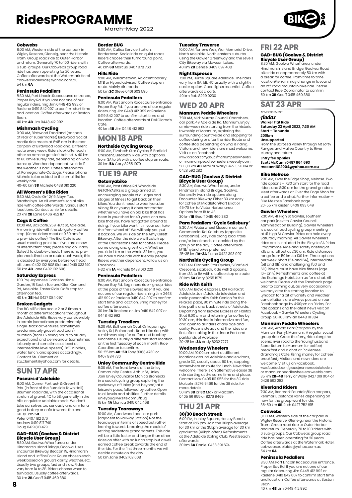March-May 2022



#### **Cobwebs**

8:00 AM, Western side of the car park in Wigley Reserve, Glenelg, near the Historic Tram. Group road ride to Outer Harbor and return. Generally 70 to 100 riders with 6 sub-groups. Our Cobwebs group road ride has been operating for 20 years. Coffee afterwards at the Watermark Hotel. cobwebsadelaide@yahoo.com.au 54 km **6A**

#### **Peninsula Pedallers**

8:30 AM, Port Lincoln Racecourse entrance, Proper Bay Rd. If you are not one of our regular riders, ring Jim 0448 412 992 or Raelene 0419 842 007 to confirm start time and location. Coffee afterwards at Boston **Bean** 40 km **4B** Jim 0448 412 992

**Mishmash Cycling**

9:00 AM, Birdwood Foodland (car park at rear of supermarket) Birdwood. Social roadie ride meets at 8:45 am in the rear car park of Birdwood Foodland. Different route every week. Riders look after each other so no-one gets left behind. A 40 km to 60 km leisurely ride, depending on who turns up. Weather dependent. No ride if the weather is bad. Coffee afterwards at Pomegranate Cottage. Please 'phone Michele to be added to the email list for weekly ride.

40-60 km **3B** Michele 0438 010 220

#### **All Women's Bike Rides**

9:30 AM, Cycle On' 2/19 Albyn Tce,<br>Strathalbyn. An all women's social bike ride with coffee afterwards. Various start locations. Contact Lanie for details. 20 km **2B** Lanie 0406 452 117

#### **Cogs & Coffee**

10:00 AM, Bici Café, 259 Hutt St, Adelaide. A morning ride with the obligatory coffee stop. (Some riders meet at 9.30 am for a pre-ride coffee). The Bici Cafe is our usual meeting point but if you are a new or intermittent rider, please ring on Friday (latest) to double-check. There is no preplanned direction or route each week; this is decided by everyone before we head off. Jane 0402 102 608 Richard 0419 033 140 50 km **4B** Jane 0402 102 608

#### **Saturday Express**

1:00 PM, Japanese Gardens Himeji Garden, 18 South Tce and Glen Osmond Rd, Adelaide. Easter Ride. Café stop for afternoon tea. 40 km **3B** Hal 0427 084 097

#### **Broken Gadgets**

The BG MTB rides occur 2 or 3 times a month at different locations throughout the Adelaide Hills. Rides vary considerably in terrain (sometimes predominately single-track adventures, sometimes predominately gravel road tours), duration (from 1.5 riding hours to all-day expeditions) and demeanour (sometimes leisurely and sometimes at least at intermediate level speeds). BYO nibbles, water, lunch, and spares accordingly. Contact Stu Clement at stu.clement@yahoo.com for details.

# **SUN 17 APR**

## **Poseurs d'Adelaide**

8:00 AM, Corner Portrush & Greenhill Rds. (in front of the Burnside Town Hall). Bitumen road ride, with the occasional stretch of gravel, 4C to 5B, generally in the hills or quieter Adelaide roads. We don't take ourselves too seriously and aim for a good bakery or cafe towards the end. 60-80 km **5B**

Peter 0407 182 376 Andrew 0419 817 749 Doug 0419 813 479

# **GAD-BUG (Goolwa & District Bicycle User Group)**

8:30 AM, Goolwa Wharf area, under Hindmarsh Island Bridge, Goolwa. Uses Encounter Bikeway, Beacon 19, Hindmarsh Island and Laffins Point. Route chosen each week based on group's ability, weather, etc. Usually two groups, fast and slow. Rides vary from 1A to 3B. Riders choose when to turn back. Usually coffee afterwards. 30 km **2B** Geoff 0415 460 380

#### **Border BUG**

9:00 AM, Caltex Service Station, Bordertown. Social ride on quiet roads. Riders choose their turnaround point. Coffee afterwards. 40 km **6B** Marcus 0407 978 763

**Hills Ride** 9:00 AM, Williamstown. Adjacent bakery. MTB or Hybrid advised. Coffee stop en route. Mainly dirt roads. 50 km **2C** Steve 0401 603 596

#### **Peninsula Pedallers**

9:00 AM, Port Lincoln Racecourse entrance, Proper Bay Rd. If you are one of our regular riders, ring Jim 0448 412 992 or Raelene 0419 842 007 to confirm start time and location. Coffee afterwards at Del Giorno's Café.

40 km **4B** Jim 0448 412 992

## **MON 18 APR**

### **Northside Cycling Group**

9:00 AM, Elizabeth Star Cycles, 5 Barfield Crescent, Elizabeth. Ride with 2 options, from 3A to 5A with a coffee stop en route. 30 km **5A** Gary 8255 1979

# **TUE 19 APR**

#### **Getonyabike**

9:00 AM, Post Office Rd, Woodside. GETONYABIKE is a group aimed at encouraging people of all ages and stages of fitness to get back on their bikes. You don't need to wear lycra, be skinny, fit or young. It does not matter whether you have an old bike that has been in your shed for 40 years or a new bike that you have not gotten around to riding. If your bike wont fit in your car, take the front wheel off. We will help you put it back on. We will ride on the Amy Gillett Bikeway. After the ride we will catch up at the Charleston Hotel for coffee. Please come along and give it a try. Whether you ride 1 km or the whole 32 kms, you will have a nice ride with friendly people. Ride is weather dependent. Follow us on Facebook. 1-32 km **1A** Michele 0438 010 220

## **Peninsula Pedallers**

9:00 AM, Port Lincoln Racecourse entrance, Proper Bay Rd. Beginners ride - group rides at the pace of the slowest rider. If you are not one of our regular riders, ring Jim 0448 412 992 or Raelene 0419 842 007 to confirm start time and location. Bring money for

coffee afterwards. 30 km **1A** Raelene or Jim 0419 842 007 or 0448 412 992

#### **Tuesday Treadlers**

9:30 AM, Balhannah Oval, Onkaparinga Valley Rd, Balhannah. Road bike ride, with a mid-way stop for coffee and back by lunchtime. Usually a different start location on the first Tuesday of each month. Ride Coordinator to confirm. 50-55 km **4B-5B** Tony 8388 4730 or

0407 884 730

#### **Unley Community Centre Ride** 9:30 AM, The front lawns of the Unley

Community Centre, Arthur St, Unley. Join Unley Councillor Monica Broniecki in a social cycling group exploring the cycleways of Unley (and beyond) at a leisurely pace, followed by coffee. Open to all levels and abilities. Further details unleybug1.wixsite.comu/bug 15 km **1A** Monica 0415 042 468

**Tuesday Tearaways** 10:00 AM, Goodwood pool car park (adjacent to Railway Station) Not the tearaways in terms of speed but rather leaning towards breaking the mould of retiring sedentary grandparents. This ride will be a little faster and longer than other rides on offer with no lunch stop but a well earned coffee break towards the end of the ride. For the first three months we will decide a route on the day. 50 km Jane 0402 102 608

#### **Tuesday Traverse**

10:00 AM, Torrens Weir, War Memorial Drive, North Adelaide. North eastern suburbs using the Gawler Greenway and the Levels City Bikeway via Mawson Lakes. 40 km **2B** Denise 0409 097 408

#### **Night Espresso**

7:00 PM, Hurtle Square Adelaide. The rides vary from 6A, 5B, 4C usually with a slightly easier option. Good lights essential. Coffee afterwards at a café. 40 km Rob 8299 0230

# **WED 20 APR**

## **Mannum Peddle Wheelers**

7:30 AM, Mid-Murray Council Chambers, car park, 49 Adelaide Rd, Mannum. Enjoy a mid-week ride starting from the historic township of Mannum, exploring the surrounding countryside and stopping for coffee during or after the ride. Route and coffee stop depending on who is riding. Visitors and new riders are most welcome. Visit us on Facebook.

www.facebook.com/groups/mannumpedalwheelers or mannumpeddlewheelers.weebly.com 50-80 km **4B** Terry or Wally 0427 319 004 or 0428 592 282

#### **GAD-BUG (Goolwa & District Bicycle User Group)**

8:30 AM, Goolwa Wharf area, under Hindmarsh Island Bridge, Goolwa. Generally two ride options along Encounter Bikeway. Either 30 km easy for coffee at Middleton/Port Elliot or 45-70 km to Victor Harbor area. Options from 1B to 4B. 30 km **1B** Geoff 0415 460 380

#### **Para Pedallers 'Cycle Salisbury'**

8:30 AM, Waterwheel Museum car park, Commercial Rd, Salisbury (opposite Parabanks). Easy ride along local trails and/or local roads, as decided by the group on the day. Coffee afterwards. MTB/hybrid bikes preferred. 25-35 km **1A-2A** Elaine 0422 393 997

#### **Northside Cycling Group**

9:00 AM, Elizabeth Star Cycles, 5 Barfield Crescent, Elizabeth. Ride with 2 options, from 3A to 5A with a coffee stop en route. 30 km **5A** Gary 8255 1979

#### **Ride with Keith**

9:00 AM, Bicycle Express, 124 Halifax St, Adelaide. Join Adelaide television and radio personality Keith Conlon for this relaxed pace, 90 minute ride along the bike paths and back streets of Adelaide. Departing from Bicycle Express on Halifax St at 9:00 am and returning for coffee by 10:30 am, this ride is informative and fun, and open to all riders of any age and ability. Pace is steady and the rides are flat, often taking in the Linear Park and parklands of Adelaide. 20-25 km **3A** Andy 8232 7277

#### **Wednesday Wheelers**

10:00 AM, 10:00 am start at different locations around Adelaide and environs, grade 3C, usually about 50 km, stopping somewhere en route for lunch. New riders welcome. There is an alternative easier 3B ride starting at the same time and place. Contact Max 0405 191 955 for the 3C ride Malcolm 8276 9469 for the 3B ride, for more details. 50 km **3B** or **3C** Max or Malcolm

0405 191 955 or 8276 9469

## **THU 21 APR 30/30 Beach Streak**

6:00 PM, Henley Square, Henley Beach. Start at 6:15 pm. Join the 30kph average for 30 km or the 35kph average for 30 km graduates (40kph often). Refreshments at the Adelaide Sailing Club, West Beach, afterwards. 30 km **6A** Daniel 0433 391 674

# **FRI 22 APR**

**GAD-BUG (Goolwa & District Bicycle User Group)** 8:30 AM, Goolwa Wharf area, under

Hindmarsh Island Bridge, Goolwa. Road bike ride of approximately 50 km with<br>a break for coffee From time to time a break for coffee. From time to time location/terrain may change in favour of an off-road mountain bike ride. Please contact Ride Coordinator to confirm. 50 km **3B** Geoff 0415 460 380

### **SAT 23 APR**

# ADVERTISEMENT

**Audax**<br>Walker Flat Ride **Walker Flat Ride Saturday 23 April 2022, 7:30 AM Start – Tanunda 200km**

#### **Unsupported**

From the Barossa Valley through Mt Lofty Ranges and Mallee Country to River Murray and return.

**Entry fee applies Scott McCann 0487 864 693 mccann1012004@yahoo.com.au**

# **Bike Melrose**

7:30 AM, Over the Edge Shop, Melrose. Two ride options – 7:30 am start for the road riders and 8:30 am for the gravel grinders. Meet afterwards at Over the Edge Shop for a coffee and a chat. Further information – Bike Melrose Facebook page. 20-55 km Kristen 0409 093 649

#### **Gawler Wheelers**

7:30 AM, 41 High St Gawler, southern car park (next to Gawler Council Administration Building). Gawler Wheelers is a social road cycling group, meeting at 41 High St Gawler. Rides are held every Saturday morning. All Gawler Wheelers rides are in included in the Bicycle SA Rides Programme. Ride and safety briefing at 7:15 am, roll out at 7.30 am. Ride distances range from 50 km to 100 km. Three options per week: Short (5A and 6A), Intermediate (5B and 6B) and challenging (5D and 6D). Riders must have bike fitness (age 16+ only) Refreshments and coffee at the Exchange Hotel. Join us for a chat. All welcome. Please visit the Facebook page prior to coming out, as very occasionally we may alter the starting location to Lyndoch for a bit of variety and weather cancellations are always posted on our Facebook page by 4:00pm on Friday. For ride options and the latest news visit on Facebook – Gawler Wheelers Cycling Group. 50-100 km Ian 0448 111 384

#### **Mannum Peddle Wheelers**

7:30 AM, Arnold Park (car park by the Mannum Ferry), Mannum. A regular social group ride. Cross the ferry, ride along the scenic river road to the Younghusband Store. Return to Mannum for coffee/ breakfast and a chat at Picklemee Grandma's Cafe. (Bring money for coffee/ breakfast). Visitors and new riders are welcome. Visit us on Facebook.<br>www.facebook.com/groups/mannumpedalwheelers

www.facebook.com/groups/mannumpedalwheelers or mannumpeddlewheelers.weebly.com 35 km **2B-4B** Terry or Wally 0427 319 004 or 0428 592 282

#### **Riverland Riders**

7:30 AM, Renmark Fountain/Lion car park, Renmark. Distance varies depending on how far the group want to ride. 35-50 km **6B** Ruth 0427 752 815

#### **Cobwebs**

8:00 AM, Western side of the car park in Wigley Reserve, Glenelg, near the Historic Tram. Group road ride to Outer Harbor and return. Generally 70 to 100 riders with 6 sub-groups. Our Cobwebs group road ride has been operating for 20 years. Coffee afterwards at the Watermark Hotel. cobwebsadelaide@yahoo.com.au 54 km **6A**

#### **Peninsula Pedallers**

8:30 AM, Port Lincoln Racecourse entrance, Proper Bay Rd. If you are not one of our regular riders, ring Jim 0448 412 992 or Raelene 0419 842 007 to confirm start time and location. Coffee afterwards at Boston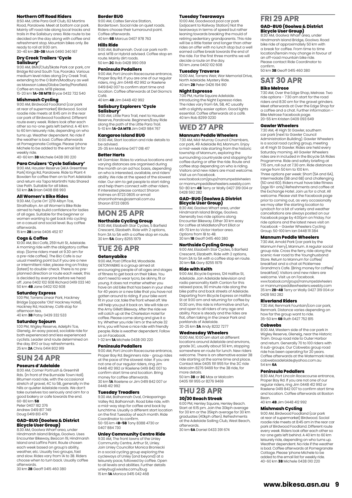#### **Northern Off Road Riders**

8:50 AM, Little Para Golf Club, 62 Martins Road, Paralowie. Meet at bottom car park. Mainly off road ride along local tracks and trails in the Salisbury area. Ride route to be decided on the day along with coffee and refreshment stop. Mountain bikes only. Be ready to roll at 9:00 am.

30-40 km **2B-3B** Mark 0490 340 167

# **Dry Creek Trailers 'Cycle**

**Salisbury'** 9:00 AM, BMX/Club/Skate Park car park, cnr Bridge Rd and South Tce, Pooraka. Various medium level rides along Dry Creek Trail, extending to the O Bahn/Modbury as well as Mawson Lakes/Globe Derby/Parafield. Coffee en route. MTB please. 15-20 km **1A-3B MTB** Bryce 0432 732 540

# **Mishmash Cycling**

9:00 AM, Birdwood Foodland (car park at rear of supermarket) Birdwood. Social roadie ride meets at 8:45 am in the rear car park of Birdwood Foodland. Different route every week. Riders look after each other so no-one gets left behind. A 40 km to 60 km leisurely ride, depending on who turns up. Weather dependent. No ride if the weather is bad. Coffee afterwards at Pomegranate Cottage. Please 'phone Michele to be added to the email list for weekly ride.

40-60 km **3B** Michele 0438 010 220

### **Para Cruizers 'Cycle Salisbury'**

9:00 AM, Hausler Reserve (AKA Greentree Park) Kings Rd, Paralowie. Ride to Plant 4 Bowden for coffee then on to Port Adelaide and return via Tapa Martinthi Yala Shared Use Path. Suitable for all bikes. 50 km **2A** Brian 0408 818 993

#### **All Women's Bike Rides**

9:30 AM, Cycle On' 2/19 Albyn Tce, Strathalbyn. An all Women's Bike Ride aimed to help build confidence for ladies of all ages. Suitable for the beginner or women wanting to get back into cycling on a casual and social level. Buy coffee afterwards.

15 km **2B** Lanie 0406 452 117

#### **Cogs & Coffee**

10:00 AM, Bici Café, 259 Hutt St, Adelaide. A morning ride with the obligatory coffee stop. (Some riders meet at 9.30 am for a pre-ride coffee). The Bici Cafe is our usual meeting point but if you are a new or intermittent rider, please ring on Friday (latest) to double-check. There is no preplanned direction or route each week; this is decided by everyone before we head off. Jane 0402 102 608 Richard 0419 033 140 50 km **4B** Jane 0402 102 608

**Saturday Express** 1:00 PM, Torrens Linear Park, Hackney Bridge (opposite 'Old' Hackney Hotel), Hackney Rd, Hackney. Café stop for afternoon tea. 40 km **3B** Patsy 0439 332 533

#### **Saturday Sojourn**

1:00 PM, Wigley Reserve, Adelphi Tce, Glenelg. An easy paced, sociable ride for both experienced and less experienced cyclists. Leader and route determined on the day. BYO or buy refreshments. 25 km **2A** Chris 0414 802 919

# **SUN 24 APR**

**Poseurs d'Adelaide** 8:00 AM, Corner Portrush & Greenhill Rds. (in front of the Burnside Town Hall).

Bitumen road ride, with the occasional stretch of gravel, 4C to 5B, generally in the hills or quieter Adelaide roads. We don't take ourselves too seriously and aim for a good bakery or cafe towards the end. 60-80 km **5B** Peter 0407 182 376

Andrew 0419 817 749 Doug 0419 813 479

# **GAD-BUG (Goolwa & District Bicycle User Group)**

8:30 AM, Goolwa Wharf area, under Hindmarsh Island Bridge, Goolwa. Uses Encounter Bikeway, Beacon 19, Hindmarsh Island and Laffins Point. Route chosen each week based on group's ability, weather, etc. Usually two groups, fast and slow. Rides vary from 1A to 3B. Riders choose when to turn back. Usually coffee afterwards.

30 km **2B** Geoff 0415 460 380

#### **Border BUG**

9:00 AM, Caltex Service Station Bordertown. Social ride on quiet roads. Riders choose their turnaround point. Coffee afterwards. 40 km **6B** Marcus 0407 978 763

#### **Hills Ride**

9:00 AM, Balhannah. Oval car park north end. MTB or Hybrid advised. Coffee stop en route. Mainly dirt roads. 50 km **2C** Rob 0428 990 059

**Peninsula Pedallers** 9:00 AM, Port Lincoln Racecourse entrance, Proper Bay Rd. If you are one of our regular riders, ring Jim 0448 412 992 or Raelene 0419 842 007 to confirm start time and location. Coffee afterwards at Del Giorno's Café.

40 km **4B** Jim 0448 412 992

# **Salisbury Explorers 'Cycle**

**Salisbury'** 9:00 AM, Little Para Trail, next to Hausler Reserve, Paralowie. Beginners/Easy Ride along the path of the Little Para Trail. 5-10 km **1A-2A MTB** Jim 0401 984 767

#### **Kangaroo Island BUG**

10:00 AM, Start location and ride details to be advised.

25-35 km Martine 0477 018 417

#### **Better Harts**

Mt Gambier. Rides to various locations and varying distances are organised during the month on an ad hoc basis, depending on who is interested, available, and riders' ability. We ride at the speed of the slowest rider. Our aim to get people to start riding and help them connect with other riders. If interested please contact Sharon Holmes on 8723 0805 or email sharonholmes@ozemail.com.au Sharon 8723 0805

# **MON 25 APR**

#### **Northside Cycling Group** 9:00 AM, Elizabeth Star Cycles, 5 Barfield

Crescent, Elizabeth. Ride with 2 options, from 3A to 5A with a coffee stop en route. 30 km **5A** Gary 8255 1979

# **TUE 26 APR**

#### **Getonyabike** 9:00 AM, Post Office Rd, Woodside.

GETONYABIKE is a group aimed at encouraging people of all ages and stages of fitness to get back on their bikes. You don't need to wear lycra, be skinny, fit or young. It does not matter whether you have an old bike that has been in your shed for 40 years or a new bike that you have not gotten around to riding. If your bike wont fit in your car, take the front wheel off. We will help you put it back on. We will ride on the Amy Gillett Bikeway. After the ride we will catch up at the Charleston Hotel for coffee. Please come along and give it a try. Whether you ride 1 km or the whole 32 kms, you will have a nice ride with friendly people. Ride is weather dependent. Follow us on Facebook.

1-32 km **1A** Michele 0438 010 220

#### **Peninsula Pedallers**

9:00 AM, Port Lincoln Racecourse entrance, Proper Bay Rd. Beginners ride - group rides at the pace of the slowest rider. If you are not one of our regular riders, ring Jim 0448 412 992 or Raelene 0419 842 007 to confirm start time and location. Bring money for coffee afterwards. 30 km **1A** Raelene or Jim 0419 842 007 or 0448 412 992

#### **Tuesday Treadlers**

9:30 AM, Balhannah Oval, Onkaparinga Valley Rd, Balhannah. Road bike ride, with a mid-way stop for coffee and back by lunchtime. Usually a different start location on the first Tuesday of each month. Ride Coordinator to confirm. 50-55 km 4**B-5B** Tony 8388 4730 or 0407 884 730

# **Unley Community Centre Ride**

9:30 AM, The front lawns of the Unley Community Centre, Arthur St, Unley. Join Unley Councillor Monica Broniecki in a social cycling group exploring the cycleways of Unley (and beyond) at a leisurely pace, followed by coffee. Open to all levels and abilities. Further details unleybug1.wixsite.comu/bug 15 km **1A** Monica 0415 042 468

#### **Tuesday Tearaways**

10:00 AM, Goodwood pool car park (adjacent to Railway Station) Not the tearaways in terms of speed but rathe leaning towards breaking the mould of retiring sedentary grandparents. This ride will be a little faster and longer than other rides on offer with no lunch stop but a well earned coffee break towards the end of the ride. For the first three months we will decide a route on the day. 50 km Jane 0402 102 608

#### **Tuesday Traverse**

10:00 AM, Torrens Weir, War Memorial Drive, North Adelaide. Mystery Ride. 40 km **2B** Peter 0426 194 910

#### **Night Espresso**

7:00 PM, Hurtle Square Adelaide. Introducing the Night Expresso rides. The rides vary from 6A, 5B, 4C usually with a slightly easier option. Good lights essential. Coffee afterwards at a café. 40 km Rob 8299 0230

# **WED 27 APR**

#### **Mannum Peddle Wheelers**

7:30 AM, Mid-Murray Council Chambers, car park, 49 Adelaide Rd, Mannum. Enjoy a mid-week ride starting from the historic township of Mannum, exploring the surrounding countryside and stopping for coffee during or after the ride. Route and coffee stop depending on who is riding. Visitors and new riders are most welcome. Visit us on Facebook.

www.facebook.com/groups/mannumpedalwheelers or mannumpeddlewheelers.weebly.com 50-80 km **4B** Terry or Wally 0427 319 004 or 0428 592 282

# **GAD-BUG (Goolwa & District**

**Bicycle User Group)** 8:30 AM, Goolwa Wharf area, under Hindmarsh Island Bridge, Goolwa. Generally two ride options along Encounter Bikeway. Either 30 km easy for coffee at Middleton/Port Elliot or 45-70 km to Victor Harbor area. Options from 1B to 4B. 30 km **1B** Geoff 0415 460 380

**Northside Cycling Group** 9:00 AM, Elizabeth Star Cycles, 5 Barfield Crescent, Elizabeth. Ride with 2 options, from 3A to 5A with a coffee stop en route.

# 30 km **5A** Gary 8255 1979

**Ride with Keith**

9:00 AM, Bicycle Express, 124 Halifax St, Adelaide. Join Adelaide television and radio personality Keith Conlon for this relaxed pace, 90 minute ride along the bike paths and back streets of Adelaide. Departing from Bicycle Express on Halifax St at 9:00 am and returning for coffee by 10:30 am, this ride is informative and fun, and open to all riders of any age and ability. Pace is steady and the rides are flat, often taking in the Linear Park and parklands of Adelaide. 20-25 km **3A** Andy 8232 7277

### **Wednesday Wheelers**

10:00 AM, 10:00 am start at different locations around Adelaide and environs, grade 3C, usually about 50 km, stopping somewhere en route for lunch. New riders welcome. There is an alternative easier 3B ride starting at the same time and place. Contact Max 0405 191 955 for the 3C ride Malcolm 8276 9469 for the 3B ride, for more details. 50 km **3B** or **3C** Max or Malcolm

0405 191 955 or 8276 9469

## **THU 28 APR 30/30 Beach Streak**

6:00 PM, Henley Square, Henley Beach. Start at 6:15 pm. Join the 30kph average for 30 km or the 35kph average for 30 km graduates (40kph often). Refreshments at the Adelaide Sailing Club, West Beach, afterwards.

30 km **6A** Daniel 0433 391 674

## **FRI 29 APR**

# **GAD-BUG (Goolwa & District Bicycle User Group)** 8:30 AM, Goolwa Wharf area, under

Hindmarsh Island Bridge, Goolwa. Road bike ride of approximately 50 km with location/terrain may change in favour of an off-road mountain bike ride. Please contact Ride Coordinator to confirm. 50 km **3B** Geoff 0415 460 380 a break for coffee. From time to time

# **SAT 30 APR**

#### **Bike Melrose**

7:30 AM, Over the Edge Shop, Melrose. Two<br>ride options - 7:30 am start for the road ride options - 7:30 am start for the road riders and 8:30 am for the gravel grinders. Meet afterwards at Over the Edge Shop for a coffee and a chat. Further information – Bike Melrose Facebook page. 20-55 km Kristen 0409 093 649

#### **Gawler Wheelers**

7:30 AM, 41 High St Gawler, southern car park (next to Gawler Council Administration Building). Gawler Wheelers is a social road cycling group, meeting at 41 High St Gawler. Rides are held every Saturday morning. All Gawler Wheelers rides are in included in the Bicycle SA Rides Programme. Ride and safety briefing at 7:15 am, roll out at 7.30 am. Ride distances range from 50 km to 100 km.

Three options per week: Short (5A and 6A), Intermediate (5B and 6B) and challenging (5D and 6D). Riders must have bike fitness (age 16+ only) Refreshments and coffee at the Exchange Hotel. Join us for a chat. All welcome. Please visit the Facebook page prior to coming out, as very occasionally we may alter the starting location to Lyndoch for a bit of variety and weather cancellations are always posted on our Facebook page by 4:00pm on Friday. For ride options and the latest news visit on Facebook – Gawler Wheelers Cycling Group. 50-100 km Ian 0448 111 384

#### **Mannum Peddle Wheelers**

7:30 AM, Arnold Park (car park by the Mannum Ferry), Mannum. A regular social group ride. Cross the ferry, ride along the scenic river road to the Younghusband Store. Return to Mannum for coffee/ breakfast and a chat at Picklemee Grandma's Cafe. (Bring money for coffee/ breakfast). Visitors and new riders are welcome. Visit us on Facebook. www.facebook.com/groups/mannumpedalwheelers or mannumpeddlewheelers.weebly.com 35 km **2B-4B** Terry or Wally 0427 319 004 or 0428 592 282

#### **Riverland Riders**

7:30 AM, Renmark Fountain/Lion car park, Renmark. Distance varies depending on how far the group want to ride. 35-50 km **6B** Ruth 0427 752 815

#### **Cobwebs**

8:00 AM, Western side of the car park in Wigley Reserve, Glenelg, near the Historic Tram. Group road ride to Outer Harbor and return. Generally 70 to 100 riders with 6 sub-groups. Our Cobwebs group road ride has been operating for 20 years. Coffee afterwards at the Watermark Hotel. cobwebsadelaide@yahoo.com.au 54 km **6A**

#### **Peninsula Pedallers**

8:30 AM, Port Lincoln Racecourse entrance, Proper Bay Rd. If you are not one of our regular riders, ring Jim 0448 412 992 or Raelene 0419 842 007 to confirm start time and location. Coffee afterwards at Boston **Bean** 

40 km **4B** Jim 0448 412 992

#### **Mishmash Cycling**

9:00 AM, Birdwood Foodland (car park at rear of supermarket) Birdwood. Social roadie ride meets at 8:45 am in the rear car park of Birdwood Foodland. Different route every week. Riders look after each other so no-one gets left behind. A 40 km to 60 km leisurely ride, depending on who turns up. Weather dependent. No ride if the weather is bad. Coffee afterwards at Pomegranate Cottage. Please 'phone Michele to be added to the email list for weekly ride. 40-60 km **3B** Michele 0438 010 220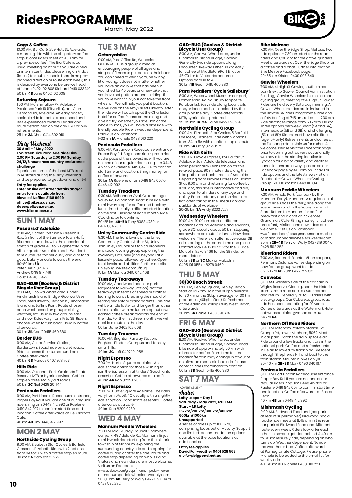March-May 2022

#### **Cogs & Coffee**

10:00 AM, Bici Café, 259 Hutt St, Adelaide. A morning ride with the obligatory coffee stop. (Some riders meet at 9.30 am for a pre-ride coffee). The Bici Cafe is our usual meeting point but if you are a new or intermittent rider, please ring on Friday (latest) to double-check. There is no pre-planned direction or route each week; this is decided by everyone before we head off. Jane 0402 102 608 Richard 0419 033 140 50 km **4B** Jane 0402 102 608

#### **Saturday Sojourn**

1:00 PM, Marshmallow Pk, Adelaide Parklands Park 19 (Pityarilla), adj. Glen Osmond Rd, Adelaide. An easy paced, sociable ride for both experienced and less experienced cyclists. Leader and route determined on the day. BYO or buy refreshments.

25 km **2A** Chris 0414 802 919

# Dirty Weekend

**30 April – 1 May 2022 Fox Creek Bike Park, Adelaide Hills 2.00 PM Saturday to 2:00 PM Sunday 24/12/6 hour cross country endurance challenge**

Experience some of the best MTB tracks in Australia during the Dirty Weekend and be prepared to get down and dirty!

**Entry fee applies. Enter on line or further details and/or entry forms available from: Bicycle SA office 8168 9999 office@bikesa.asn.au [rides@bikesa.asn.au](mailto:rides@bikesa.asn.au) [www.bikesa.asn.au](http://www.bikesa.asn.au)**

## **SUN 1 MAY**

#### **Poseurs d'Adelaide**

8:00 AM, Corner Portrush & Greenhill Rds. (in front of the Burnside Town Hall). Bitumen road ride, with the occasional stretch of gravel, 4C to 5B, generally in the hills or quieter Adelaide roads. We don't<br>take ourselves too seriously and aim for a take ourselves too seriously and aim for a good bakery or cafe towards the end. 60-80 km **5B** Peter 0407 182 376 Andrew 0419 817 749 Doug 0419 813 479

## **GAD-BUG (Goolwa & District Bicycle User Group)** 8:30 AM, Goolwa Wharf area, under

Hindmarsh Island Bridge, Goolwa. Uses Encounter Bikeway, Beacon 19, Hindmarsh Island and Laffins Point. Route chosen each week based on group's ability, weather, etc. Usually two groups, fast and slow. Rides vary from 1A to 3B. Riders choose when to turn back. Usually coffee choose mixed 30 km **2B** Geoff 0415 460 380

**Border BUG**

9:00 AM, Caltex Service Station, Bordertown. Social ride on quiet roads. Riders choose their turnaround point.<br>Coffee afterwards Coffee afterwards. 40 km **6B** Marcus 0407 978 763

#### **Hills Ride**

9:00 AM, Oaklands Park. Oaklands Estate Reserve. MTB or Hybrid advised. Coffee stop en route. Mainly dirt roads. 50 km **2C** Neil 0429 201 144

### **Peninsula Pedallers**

9:00 AM, Port Lincoln Racecourse entrance, Proper Bay Rd. If you are one of our regular riders, ring Jim 0448 412 992 or Raelene 0419 842 007 to confirm start time and location. Coffee afterwards at Del Giorno's Café.

40 km **4B** Jim 0448 412 992

# **MON 2 MAY**

#### **Northside Cycling Group**

9:00 AM, Elizabeth Star Cycles, 5 Barfield Crescent, Elizabeth. Ride with 2 options, from 3A to 5A with a coffee stop en route. 30 km **5A** Gary 8255 1979

# **TUE 3 MAY**

#### **Getonyabike**

9:00 AM, Post Office Rd, Woodside. GETONYABIKE is a group aimed at encouraging people of all ages and stages of fitness to get back on their bikes. You don't need to wear lycra, be skinny, fit or young. It does not matter whether you have an old bike that has been in your shed for 40 years or a new bike that you have not gotten around to riding. If your bike wont fit in your car, take the front wheel off. We will help you put it back on. We will ride on the Amy Gillett Bikeway. After the ride we will catch up at the Charleston Hotel for coffee. Please come along and give it a try. Whether you ride 1 km or the whole 32 kms, you will have a nice ride with friendly people. Ride is weather dependent. Follow us on Facebook. 1-32 km **1A** Michele 0438 010 220

#### **Peninsula Pedallers**

9:00 AM, Port Lincoln Racecourse entrance, Proper Bay Rd. Beginners ride - group rides at the pace of the slowest rider. If you are not one of our regular riders, ring Jim 0448 412 992 or Raelene 0419 842 007 to confirm start time and location. Bring money for coffee afterwards.

30 km **1A** Raelene or Jim 0419 842 007 or 0448 412 992

#### **Tuesday Treadlers**

9:30 AM, Balhannah Oval, Onkaparinga Valley Rd, Balhannah. Road bike ride, with a mid-way stop for coffee and back by lunchtime. Usually a different start location on the first Tuesday of each month. Ride Coordinator to confirm.

50-55 km **4B-5B** Tony 8388 4730 or 0407 884 730

# **Unley Community Centre Ride** 9:30 AM, The front lawns of the Unley

Community Centre, Arthur St, Unley. Join Unley Councillor Monica Broniecki in a social cycling group exploring the cycleways of Unley (and beyond) at a leisurely pace, followed by coffee. Open to all levels and abilities. Further details unleybug1.wixsite.comu/bug 15 km **1A** Monica 0415 042 468

#### **Tuesday Tearaways**

10:00 AM, Goodwood pool car park (adjacent to Railway Station). Not the tearaways in terms of speed but rather leaning towards breaking the mould of retiring sedentary grandparents. This ride will be a little faster and longer than other rides on offer with no lunch stop but a well earned coffee break towards the end of the ride. For the first three months we will decide a route on the day. 50 km Jane 0402 102 608

#### **Tuesday Traverse**

10:00 AM, Brighton Railway Station, Brighton. Flinders Campus and Tonsley; small hills. 40 km **2C** Jeff 0407 191 958

## **Night Espresso**

7:00 PM, Hurtle Square Adelaide. An easier ride option for those wishing to join the Espresso 'night riders' Good lights essential. Coffee afterwards at a café. 40 km **4A** Rob 8299 0230

#### **Night Espresso**

7:00 PM, Hurtle Square Adelaide. The rides vary from 6A, 5B, 4C usually with a slightly easier option. Good lights essential. Coffee afterwards at a café. 40 km Rob 8299 0230

# **WED 4 MAY**

#### **Mannum Peddle Wheelers**

7:30 AM, Mid-Murray Council Chambers, car park, 49 Adelaide Rd, Mannum. Enjoy a mid-week ride starting from the historic township of Mannum, exploring the surrounding countryside and stopping for coffee during or after the ride. Route and coffee stop depending on who is riding. Visitors and new riders are most welcome. Visit us on Facebook. www.facebook.com/groups/mannumpedalwheelers

or mannumpeddlewheelers.weebly.com 50-80 km **4B** Terry or Wally 0427 319 004 or 0428 592 282

#### **GAD-BUG (Goolwa & District Bicycle User Group)**

8:30 AM, Goolwa Wharf area, under Hindmarsh Island Bridge, Goolwa. Generally two ride options along Encounter Bikeway. Either 30 km easy for coffee at Middleton/Port Elliot or 45-70 km to Victor Harbor area. Options from 1B to 4B. 30 km **1B** Geoff 0415 460 380

#### **Para Pedallers 'Cycle Salisbury'**

8:30 AM, Waterwheel Museum car park, Commercial Rd, Salisbury (opposite Parabanks). Easy ride along local trails<br>and/or local roads, as decided by the and/or local roads, as decided by the group on the day. Coffee afterwards. MTB/hybrid bikes preferred. 25-35 km **1A-2A** Elaine 0422 393 997

#### **Northside Cycling Group**

9:00 AM, Elizabeth Star Cycles, 5 Barfield Crescent, Elizabeth. Ride with 2 options, from 3A to 5A with a coffee stop en route 30 km **5A** Gary 8255 1979

#### **Ride with Keith**

9:00 AM, Bicycle Express, 124 Halifax St, Adelaide. Join Adelaide television and radio personality Keith Conlon for this relaxed pace, 90 minute ride along the bike paths and back streets of Adelaide. Departing from Bicycle Express on Halifax St at 9:00 am and returning for coffee by 10:30 am, this ride is informative and fun, and open to all riders of any age and ability. Pace is steady and the rides are flat, often taking in the Linear Park and parklands of Adelaide. 20-25 km **3A** Andy 8232 7277

## **Wednesday Wheelers**

10:00 AM, 10:00 am start at different locations around Adelaide and environs, grade 3C, usually about 50 km, stopping somewhere en route for lunch. New riders welcome. There is an alternative easier 3B ride starting at the same time and place. Contact Max 0405 191 955 for the 3C ride Malcolm 8276 9469 for the 3B ride, for more details.

50 km **3B** or **3C** Max or Malcolm 0405 191 955 or 8276 9469

### **THU 5 MAY 30/30 Beach Streak**

6:00 PM, Henley Square, Henley Beach. Start at 6:15 pm. Join the 30kph average for 30 km or the 35kph average for 30 km graduates (40kph often). Refreshments at the Adelaide Sailing Club, West Beach, afterwards. 30 km **6A** Daniel 0433 391 674

## **FRI 6 MAY GAD-BUG (Goolwa & District Bicycle User Group)** 8:30 AM, Goolwa Wharf area, under

Hindmarsh Island Bridge, Goolwa. Road bike ride of approximately 50 km with a break for coffee. From time to time location/terrain may change in favour of an off-road mountain bike ride. Please contact Ride Coordinator to confirm. 50 km **3B** Geoff 0415 460 380

# **SAT 7 MAY**

 ADVERTISEMENT Audax **Lofty Loops – Day 1 Saturday 7 May 2022, 6:00 AM Start – Mt Lofty 157km/200km/300km/400km 600km/1000km Unsupported**

A series of rides up to 1000km, comprising loops out of Mt Lofty. Support and limited accommodation options available at the base locations at additional cost.

#### **Entry fee applies David Fairweather 0401 528 563**

**div.fw@bigpond.net.au**

#### **Bike Melrose**

7:30 AM, Over the Edge Shop, Melrose. Two ride options - 7:30 am start for the road riders and 8:30 am for the gravel grinders. Meet afterwards at Over the Edge Shop for a coffee and a chat. Further information - Bike Melrose Facebook page. 20-55 km Kristen 0409 093 649

## **Gawler Wheelers**

7:30 AM, 41 High St Gawler, southern car park (next to Gawler Council Administration Building). Gawler Wheelers is a social road cycling group, meeting at 41 High St Gawler. Rides are held every Saturday morning. All Gawler Wheelers rides are in included in the Bicycle SA Rides Programme. Ride and safety briefing at 7:15 am, roll out at 7.30 am. Ride distances range from 50 km to 100 km. Three options per week: Short (5A and 6A), Intermediate (5B and 6B) and challenging (5D and 6D). Riders must have bike fitness (age 16+ only) Refreshments and coffee at the Exchange Hotel. Join us for a chat. All welcome. Please visit the Facebook page prior to coming out, as very occasionally we may alter the starting location to Lyndoch for a bit of variety and weather cancellations are always posted on our Facebook page by 4:00pm on Friday. For ride options and the latest news visit on Facebook – Gawler Wheelers Cycling Group. 50-100 km Ian 0448 111 384

#### **Mannum Peddle Wheelers**

7:30 AM, Arnold Park (car park by the Mannum Ferry), Mannum. A regular social group ride. Cross the ferry, ride along the scenic river road to the Younghusband Store. Return to Mannum for coffee/ breakfast and a chat at Picklemee Grandma's Cafe. (Bring money for coffee/ breakfast). Visitors and new riders are welcome. Visitors and new net

www.facebook.com/groups/mannumpedalwheelers or mannumpeddlewheelers.weebly.com 35 km **2B-4B** Terry or Wally 0427 319 004 or 0428 592 282

#### **Riverland Riders**

7:30 AM, Renmark Fountain/Lion car park, Renmark. Distance varies depending on how far the group want to ride. 35-50 km **6B** Ruth 0427 752 815

#### **Cobwebs**

8:00 AM, Western side of the car park in Wigley Reserve, Glenelg, near the Historic Tram. Group road ride to Outer Harbor and return. Generally 70 to 100 riders with 6 sub-groups. Our Cobwebs group road ride has been operating for 20 years. Coffee afterwards at the Watermark Hotel. cobwebsadelaide@yahoo.com.au 54 km **6A**

#### **Northern Off Road Riders**

8:30 AM, Mitcham Railway Station. 5a Grange Rd, Lower Mitcham, 5062. Meet in car park. Catch the train up to Belair. Ride around a few tracks and trails in the national park. Coffee and refreshments in Belair followed by track n trail descent through Shepherds Hill and back to the train station. Mountain bikes only!!! 30-40 km **2B-3B** Mark 0490 340 167

#### **Peninsula Pedallers**

8:30 AM, Port Lincoln Racecourse entrance, Proper Bay Rd. If you are not one of our regular riders, ring Jim 0448 412 992 or Raelene 0419 842 007 to confirm start time and location. Coffee afterwards at Boston Bean.

40 km **4B** Jim 0448 412 992

## **Mishmash Cycling**

9:00 AM, Birdwood Foodland (car park at rear of supermarket) Birdwood. Social roadie ride meets at 8:45 am in the rear car park of Birdwood Foodland. Different route every week. Riders look after each other so no-one gets left behind. A 40 km to 60 km leisurely ride, depending on who turns up. Weather dependent. No ride if the weather is bad. Coffee afterwards at Pomegranate Cottage. Please 'phone Michele to be added to the email list for weekly ride. 40-60 km **3B** Michele 0438 010 220



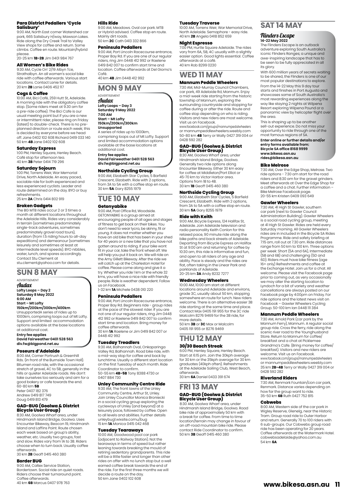# **Para District Pedallers 'Cycle**

**Salisbury'** 9:00 AM, North East corner Watershed car park, 665 Salisbury H/way, Mawson Lakes. Ride along the Dry Creek Trail to Valley<br>View shops for coffee and return. Some climbs. Coffee en route. Mountain/hybrid please.

20-25 km **1B-2B** Jim 0401 984 767

#### **All Women's Bike Rides**

9:30 AM, Cycle On' 2/19 Albyn Tce, Strathalbyn. An all women's social bike ride with coffee afterwards. Various start locations. Contact Lanie for details. 20 km **2B** Lanie 0406 452 117

#### **Cogs & Coffee**

10:00 AM, Bici Café, 259 Hutt St, Adelaide. A morning ride with the obligatory coffee stop. (Some riders meet at 9.30 am for a pre-ride coffee). The Bici Cafe is our usual meeting point but if you are a new or intermittent rider, please ring on Friday (latest) to double-check. There is no preplanned direction or route each week; this prairied all seasonships reads seasons as is decided by everyone before we head off. Jane 0402 102 608 Richard 0419 033 140 50 km **4B** Jane 0402 102 608

#### **Saturday Express**

1:00 PM, Henley Square, Henley Beach. Café stop for afternoon tea. 40 km **3B** Peter 0414 719 296

#### **Saturday Sojourn**

1:00 PM, Torrens Weir, War Memorial Drive, North Adelaide. An easy paced, sociable ride for both experienced and less experienced cyclists. Leader and route determined on the day. BYO or buy refreshments. 25 km **2A** Chris 0414 802 919

## **Broken Gadgets**

The BG MTB rides occur 2 or 3 times a month at different locations throughout the Adelaide Hills. Rides vary considerably in terrain (sometimes predominately single-track adventures, sometimes predominately gravel road tours), duration (from 1.5 riding hours to all-day expeditions) and demeanour (sometimes leisurely and sometimes at least at intermediate level speeds). BYO nibbles, water, lunch, and spares accordingly. Contact Stu Clement at stu.clement@yahoo.com for details.

## **SUN 8 MAY**

ADVERTISEMENT

Audax **Lofty Loops – Day 2 Saturday 8 May 2022 6:00 AM Start – Mt Lofty**

**150km/200km/300km/400km** UnsupportedA series of rides up to 1000km, comprising loops out of Mt Lofty. Support and limited accommodation options available at the base locations at additional cost.

**Entry fee applies David Fairweather 0401 528 563 div.fw@bigpond.net.au**

#### **Poseurs d'Adelaide**

8:00 AM, Corner Portrush & Greenhill Rds. (in front of the Burnside Town Hall). Bitumen road ride, with the occasional stretch of gravel, 4C to 5B, generally in the hills or quieter Adelaide roads. We don't take ourselves too seriously and aim for a good bakery or cafe towards the end. 60-80 km **5B** Peter 0407 182 376 Andrew 0419 817 749 Doug 0419 813 479

# **GAD-BUG (Goolwa & District Bicycle User Group)**

8:30 AM, Goolwa Wharf area, under Hindmarsh Island Bridge, Goolwa. Uses Encounter Bikeway, Beacon 19, Hindmarsh Island and Laffins Point. Route chosen each week based on group's ability, weather, etc. Usually two groups, fast and slow. Rides vary from 1A to 3B. Riders choose when to turn back. Usually coffee afterwards.

30 km **2B** Geoff 0415 460 380

### **Border BUG**

9:00 AM, Caltex Service Station, Bordertown. Social ride on quiet roads. Riders choose their turnaround point. Coffee afterwards. 40 km **6B** Marcus 0407 978 763

#### **Hills Ride**

9:00 AM, Meadows. Oval car park. MTB or Hybrid advised. Coffee stop en route. Mainly dirt roads. 50 km **2C** Cath 0413 332 866

#### **Peninsula Pedallers**

9:00 AM, Port Lincoln Racecourse entrance, Proper Bay Rd. If you are one of our regular riders, ring Jim 0448 412 992 or Raelene 0419 842 007 to confirm start time and location. Coffee afterwards at Del Giorno's Café.

40 km **4B** Jim 0448 412 992

#### **MON 9 MAY**

ADVERTISEMENT Audax **Lofty Loops – Day 3**

**Saturday 9 May 2022 7:00 AM**

# **Start – Mt Lofty 150km/200km/300km**

**Unsupported** A series of rides up to 1000km, comprising loops out of Mt Lofty. Support and limited accommodation options available at the base locations at additional cost.

**Entry fee applies David Fairweather 0401 528 563 div.fw@bigpond.net.au**

#### **Northside Cycling Group**

9:00 AM, Elizabeth Star Cycles, 5 Barfield Crescent, Elizabeth. Ride with 2 options, from 3A to 5A with a coffee stop en route. 30 km **5A** Gary 8255 1979

### **TUE 10 MAY Getonyabike**

9:00 AM, Post Office Rd, Woodside. GETONYABIKE is a group aimed at

encouraging people of all ages and stages of fitness to get back on their bikes. You don't need to wear lycra, be skinny, fit or young. It does not matter whether you have an old bike that has been in your shed for 40 years or a new bike that you have not gotten around to riding. If your bike wont fit in your car, take the front wheel off. We will help you put it back on. We will ride on the Amy Gillett Bikeway. After the ride we will catch up at the Charleston Hotel for coffee. Please come along and give it a try. Whether you ride 1 km or the whole 32 kms, you will have a nice ride with friendly people. Ride is weather dependent. Follow

us on Facebook. 1-32 km **1A** Michele 0438 010 220

#### **Peninsula Pedallers**

9:00 AM, Port Lincoln Racecourse entrance, Proper Bay Rd. Beginners ride - group rides at the pace of the slowest rider. If you are not one of our regular riders, ring Jim 0448 412 992 or Raelene 0419 842 007 to confirm start time and location. Bring money for

coffee afterwards. 30 km **1A** Raelene or Jim 0419 842 007 or 0448 412 992

#### **Tuesday Treadlers**

9:30 AM, Balhannah Oval, Onkaparinga Valley Rd, Balhannah. Road bike ride, with a mid-way stop for coffee and back by lunchtime. Usually a different start location on the first Tuesday of each month. Ride Coordinator to confirm. 50-55 km **4B-5B** Tony 8388 4730 or 0407 884 730

# **Unley Community Centre Ride**

9:30 AM, The front lawns of the Unley Community Centre, Arthur St, Unley. Join Unley Councillor Monica Broniecki in a social cycling group exploring the cycleways of Unley (and beyond) at a leisurely pace, followed by coffee. Open to all levels and abilities. Further details unleybug1.wixsite.comu/bug 15 km **1A** Monica 0415 042 468

#### **Tuesday Tearaways**

10:00 AM, Goodwood pool car park (adjacent to Railway Station). Not the tearaways in terms of speed but rather leaning towards breaking the mould of retiring sedentary grandparents. This ride will be a little faster and longer than other rides on offer with no lunch stop but a well earned coffee break towards the end of the ride. For the first three months we will decide a route on the day. 50 km Jane 0402 102 608

#### **Tuesday Traverse**

10:00 AM, Torrens Weir, War Memorial Drive, North Adelaide. Semaphore - easy ride. 40 km **2B** Angela 0418 852 659

#### **Night Espresso**

7:00 PM, Hurtle Square Adelaide. The rides vary from 6A, 5B, 4C usually with a slightly easier option. Good lights essential. Coffee afterwards at a café. 40 km Rob 8299 0230

# **WED 11 MAY**

#### **Mannum Peddle Wheelers**

7:30 AM, Mid-Murray Council Chambers, car park, 49 Adelaide Rd, Mannum. Enjoy a mid-week ride starting from the historic township of Mannum, exploring the surrounding countryside and stopping for coffee during or after the ride. Route and coffee stop depending on who is riding. Visitors and new riders are most welcome. Visit us on Facebook.

www.facebook.com/groups/mannumpedalwheelers or mannumpeddlewheelers.weebly.com 50-80 km **4B** Terry or Wally 0427 319 004 or 0428 592 282

# **GAD-BUG (Goolwa & District Bicycle User Group)**

8:30 AM, Goolwa Wharf area, under Hindmarsh Island Bridge, Goolwa. Generally two ride options along Encounter Bikeway. Either 30 km easy for coffee at Middleton/Port Elliot or 45-70 km to Victor Harbor area. Options from 1B to 4B. 30 km **1B** Geoff 0415 460 380

**Northside Cycling Group**<br>9:00 AM, Elizabeth Star Cycles, 5 Barfield<br>Crescent, Elizabeth. Ride with 2 options, from 3A to 5A with a coffee stop en route. 30 km **5A** Gary 8255 1979

#### **Ride with Keith**

9:00 AM, Bicycle Express, 124 Halifax St, Adelaide. Join Adelaide television and radio personality Keith Conlon for this relaxed pace, 90 minute ride along the bike paths and back streets of Adelaide. Departing from Bicycle Express on Halifax St at 9:00 am and returning for coffee by 10:30 am, this ride is informative and fun, and open to all riders of any age and ability. Pace is steady and the rides are flat, often taking in the Linear Park and parklands of Adelaide. 20-25 km **3A** Andy 8232 7277

#### **Wednesday Wheelers**

10:00 AM, 10:00 am start at different locations around Adelaide and environs, grade 3C, usually about 50 km, stopping somewhere en route for lunch. New riders welcome. There is an alternative easier 3B ride starting at the same time and place. Contact Max 0405 191 955 for the 3C ride Malcolm 8276 9469 for the 3B ride, for more details. 50 km **3B** or **3C** Max or Malcolm

0405 191 955 or 8276 9469

#### **THU 12 MAY 30/30 Beach Streak**

6:00 PM, Henley Square, Henley Beach. Start at 6:15 pm. Join the 30kph average for 30 km or the 35kph average for 30 km graduates (40kph often). Refreshments at the Adelaide Sailing Club, West Beach, afterwards.

30 km **6A** Daniel 0433 391 674

## **FRI 13 MAY**

#### **GAD-BUG (Goolwa & District Bicycle User Group)**

Hindmarsh Island Bridge, Goolwa. Road bike ride of approximately 50 km with a break for coffee. From time to time location/terrain may change in favour of an off-road mountain bike ride. Please contact Ride Coordinator to confirm. 50 km **3B** Geoff 0415 460 380 8:30 AM, Goolwa Wharf area, under

# **SAT 14 MAY**

#### Flinders Escape **14-22 May 2022**

The Flinders Escape is an outback adventure exploring South Australia's iconic Flinders Ranges; a unique and awe-inspiring landscape that has to be seen to be fully appreciated in all its glory.

With 600 million years of secrets waiting to be shared, the Flinders is one of our most popular destinations to explore. From the 14-22 May this 9 day tour starts and finishes in Port Augusta and showcases some of South Australia's most rewarding experiences along the way like staying 2 nights at Wilpena Resort exploring Wilpena Pound or a panoramic view by helicopter flight over the area.

This is shaping up to be another sell-out experience. Do not miss your opportunity to ride through one of the most famous regions of SA.

**Enter online or further details and/or entry forms available from: Bicycle SA office 8168 9999 [www.bikesa.asn.au](http://www.bikesa.asn.au) [rides@bikesa.asn.au](mailto:rides@bikesa.asn.au)**

#### **Bike Melrose**

7:30 AM, Over the Edge Shop, Melrose. Two ride options - 7:30 am start for the road riders and 8:30 am for the gravel grinders. Meet afterwards at Over the Edge Shop for a coffee and a chat. Further information – Bike Melrose Facebook page. 20-55 km Kristen 0409 093 649

#### **Gawler Wheelers**

7:30 AM, 41 High St Gawler, southern car park (next to Gawler Council Administration Building). Gawler Wheelers is a social road cycling group, meeting at 41 High St Gawler. Rides are held every Saturday morning. All Gawler Wheelers rides are in included in the Bicycle SA Rides Programme. Ride and safety briefing at 7:15 am, roll out at 7.30 am. Ride distances range from 50 km to 100 km. Three options per week: Short (5A and 6A), Intermediate (5B and 6B) and challenging (5D and 6D). Riders must have bike fitness (age 16+ only) Refreshments and coffee at the Exchange Hotel. Join us for a chat. All welcome. Please visit the Facebook page prior to coming out, as very occasionally we may alter the starting location to Lyndoch for a bit of variety and weather cancellations are always posted on our Facebook page by 4:00pm on Friday. For ride options and the latest news visit on Facebook – Gawler Wheelers Cycling Group. 50-100 km Ian 0448 111 384

#### **Mannum Peddle Wheelers**

7:30 AM, Arnold Park (car park by the Mannum Ferry), Mannum. A regular social group ride. Cross the ferry, ride along the scenic river road to the Younghusband Store. Return to Mannum for coffee/ breakfast and a chat at Picklemee Grandma's Cafe. (Bring money for coffee/ breakfast). Visitors and new riders are welcome. Visit us on Facebook. www.facebook.com/groups/mannumpedalwheelers or mannumpeddlewheelers.weebly.com 35 km **2B-4B** Terry or Wally 0427 319 004 or 0428 592 282

#### **Riverland Riders**

7:30 AM, Renmark Fountain/Lion car park Renmark. Distance varies depending on how far the group want to ride. 35-50 km **6B** Ruth 0427 752 815

#### **Cobwebs**

8:00 AM, Western side of the car park in Wigley Reserve, Glenelg, near the Historic Tram. Group road ride to Outer Harbor and return. Generally 70 to 100 riders with 6 sub-groups. Our Cobwebs group road ride has been operating for 20 years. Coffee afterwards at the Watermark Hotel. cobwebsadelaide@yahoo.com.au 54 km **6A**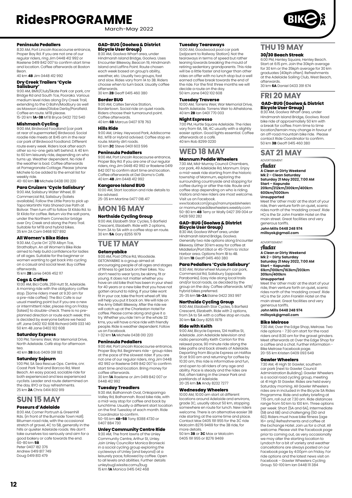March-May 2022

#### **Peninsula Pedallers**

8:30 AM, Port Lincoln Racecourse entrance, Proper Bay Rd. If you are not one of our regular riders, ring Jim 0448 412 992 or Raelene 0419 842 007 to confirm start time and location. Coffee afterwards at Boston Bean.

40 km **4B** Jim 0448 412 992

# **Dry Creek Trailers 'Cycle Salisbury'** 9:00 AM, BMX/Club/Skate Park car park, cnr

Bridge Rd and South Tce, Pooraka. Various medium level rides along Dry Creek Trail, extending to the O Bahn/Modbury as well as Mawson Lakes/Globe Derby/Parafield. Coffee en route. MTB please.

15-20 km **1A-3B** MTB Bryce 0432 732 540

### **Mishmash Cycling**

9:00 AM, Birdwood Foodland (car park at rear of supermarket) Birdwood. Social roadie ride meets at 8:45 am in the rear car park of Birdwood Foodland. Different route every week. Riders look after each other so no-one gets left behind. A 40 km to 60 km leisurely ride, depending on who turns up. Weather dependent. No ride if the weather is bad. Coffee afterwards at Pomegranate Cottage. Please 'phone Michele to be added to the email list for weekly ride.

40-60 km **3B** Michele 0438 010 220

#### **Para Cruizers 'Cycle Salisbury'**

9:00 AM, Salisbury Water Wheel, 81 Commercial Rd, Salisbury (toilets available). Follow the Little Para to pick up Tapa Martinthi Yala Shared Use Path at Bolivar. Then turn off to follow St Kilda Rd. to St Kilda for coffee. Return via the salt pans, under the Northern Connector bridge over Dry Creek and along the Para Trail. Suitable for MTB and hybrid bikes. 35 km 2A Cam 0468 927 892

#### **All Women's Bike Rides**

9:30 AM, Cycle On' 2/19 Albyn Tce, Strathalbyn. An all Women's Bike Ride aimed to help build confidence for ladies of all ages. Suitable for the beginner or women wanting to get back into cycling on a casual and social level. Buy coffee afterwards. 15 km **2B** Lanie 0406 452 117

**Cogs & Coffee** 10:00 AM, Bici Café, 259 Hutt St, Adelaide. A morning ride with the obligatory coffee stop. (Some riders meet at 9.30 am for a pre-ride coffee). The Bici Cafe is our usual meeting point but if you are a new or intermittent rider, please ring on Friday (latest) to double-check. There is no preplanned direction or route each week; this is decided by everyone before we head off. Jane 0402 102 608 Richard 0419 033 140 50 km 4B Jane 0402 102 608

#### **Saturday Express**

1:00 PM, Torrens Weir, War Memorial Drive, North Adelaide. Café stop for afternoon tea.

#### 40 km **3B** Bob 0409 091 183

**Saturday Sojourn**

1:00 PM, SA Sea Rescue Ops. Centre, cnr. Coast Park Trail and Barcoo Rd, West Beach. An easy paced, sociable ride for both experienced and less experienced cyclists. Leader and route determined on the day. BYO or buy refreshments. 25 km **2A** Chris 0414 802 919

# **SUN 15 MAY**

#### **Poseurs d'Adelaide**

8:00 AM, Corner Portrush & Greenhill Rds. (in front of the Burnside Town Hall). Bitumen road ride, with the occasional stretch of gravel, 4C to 5B, generally in the hills or quieter Adelaide roads. We don't take ourselves too seriously and aim for a good bakery or cafe towards the end.<br>60-80 km **5B** 

60-80 km **5B** Peter 0407 182 376 Andrew 0419 817 749 Doug 0419 813 479

#### **GAD-BUG (Goolwa & District**

**Bicycle User Group)** 8:30 AM, Goolwa Wharf area, under Hindmarsh Island Bridge, Goolwa. Uses Encounter Bikeway, Beacon 19, Hindmarsh Island and Laffins Point. Route chosen each week based on group's ability, weather, etc. Usually two groups, fast and slow. Rides vary from 1A to 3B. Riders choose when to turn back. Usually coffee afterwards.

#### 30 km **2B** Geoff 0415 460 380 **Border BUG**

9:00 AM, Caltex Service Station,<br>Bordertown, Social ride on quiet roads Bordertown. Social ride on quiet roads. Riders choose their turnaround point. Coffee afterwards. 40 km **6B** Marcus 0407 978 763

#### **Hills Ride**

9:00 AM, Unley. Heywood Park, Addiscome Rd.. MTB or Hybrid advised. Coffee stop en route. Mainly dirt roads. 50 km **2C** Steve 0401 603 596

#### **Peninsula Pedallers**

9:00 AM, Port Lincoln Racecourse entrance, Proper Bay Rd. If you are one of our regular riders, ring Jim 0448 412 992 or Raelene 0419 842 007 to confirm start time and location. Coffee afterwards at Del Giorno's Café. 40 km **4B** Jim 0448 412 992

#### **Kangaroo Island BUG**

10:00 AM, Start location and ride details to be advised. 25-35 km Martine 0477 018 417

## **MON 16 MAY Northside Cycling Group**

9:00 AM, Elizabeth Star Cycles, 5 Barfield Crescent, Elizabeth. Ride with 2 options, from 3A to 5A with a coffee stop en route. 30 km **5A** Gary 8255 1979

## **TUE 17 MAY Getonyabike**

9:00 AM, Post Office Rd, Woodside.

GETONYABIKE is a group aimed at encouraging people of all ages and stages of fitness to get back on their bikes. You don't need to wear lycra, be skinny, fit or young. It does not matter whether you have an old bike that has been in your shed for 40 years or a new bike that you have not gotten around to riding. If your bike wont fit in your car, take the front wheel off. We will help you put it back on. We will ride on the Amy Gillett Bikeway. After the ride we will catch up at the Charleston Hotel for coffee. Please come along and give it a try. Whether you ride 1 km or the whole 32 kms, you will have a nice ride with friendly people. Ride is weather dependent. Follow us on Facebook.

1-32 km **1A** Michele 0438 010 220

#### **Peninsula Pedallers**

9:00 AM, Port Lincoln Racecourse entrance, Proper Bay Rd. Beginners ride - group rides at the pace of the slowest rider. If you are not one of our regular riders, ring Jim 0448 412 992 or Raelene 0419 842 007 to confirm start time and location. Bring money for coffee afterwards. 30 km **1A** Raelene or Jim 0419 842 007 or 0448 412 992

#### **Tuesday Treadlers**

9:30 AM, Balhannah Oval, Onkaparinga Valley Rd, Balhannah. Road bike ride, with a mid-way stop for coffee and back by lunchtime. Usually a different start location on the first Tuesday of each month. Ride<br>Coordinator to confirm Coordinator to confirm. 50-55 km **4B-5B** Tony 8388 4730 or

0407 884 730

#### **Unley Community Centre Ride**

9:30 AM, The front lawns of the Unley Community Centre, Arthur St, Unley. Join Unley Councillor Monica Broniecki in a social cycling group exploring the cycleways of Unley (and beyond) at a leisurely pace, followed by coffee. Open to all levels and abilities. Further details unleybug1.wixsite.comu/bug 15 km **1A** Monica 0415 042 468

#### **Tuesday Tearaways**

10:00 AM, Goodwood pool car park (adjacent to Railway Station). Not the tearaways in terms of speed but rather leaning towards breaking the mould of retiring sedentary grandparents. This ride will be a little faster and longer than other rides on offer with no lunch stop but a well earned coffee break towards the end of the ride. For the first three months we will decide a route on the day. 50 km Jane 0402 102 608

#### **Tuesday Traverse**

10:00 AM, Torrens Weir, War Memorial Drive, North Adelaide. Torrens Weir to Athelstone. 40 km **2B** Ian 0401 770 003

#### **Night Espresso**

7:00 PM, Hurtle Square Adelaide. The rides vary from 6A, 5B, 4C usually with a slightly easier option. Good lights essential. Coffee afterwards at a café. 40 km Rob 8299 0230

## **WED 18 MAY**

#### **Mannum Peddle Wheelers**

7:30 AM, Mid-Murray Council Chambers, car park, 49 Adelaide Rd, Mannum. Enjoy a mid-week ride starting from the historic township of Mannum, exploring the surrounding countryside and stopping for coffee during or after the ride. Route and coffee stop depending on who is riding. Visitors and new riders are most welcome.

Visit us on Facebook. www.facebook.com/groups/mannumpedalwheelers or mannumpeddlewheelers.weebly.com 50-80 km **4B** Terry or Wally 0427 319 004 or 0428 592 282

#### **GAD-BUG (Goolwa & District Bicycle User Group)**

8:30 AM, Goolwa Wharf area, under Hindmarsh Island Bridge, Goolwa. Generally two ride options along Encounter Bikeway. Either 30 km easy for coffee at Middleton/Port Elliot or 45-70 km to Victor Harbor area. Options from 1B to 4B. 30 km **1B** Geoff 0415 460 380

## **Para Pedallers 'Cycle Salisbury'**

8:30 AM, Waterwheel Museum car park, Commercial Rd, Salisbury (opposite Parabanks). Easy ride along local trails and/or local roads, as decided by the group on the day. Coffee afterwards. MTB/ hybrid bikes preferred. 25-35 km **1A-2A** Elaine 0422 393 997

#### **Northside Cycling Group**

9:00 AM, Elizabeth Star Cycles, 5 Barfield Crescent, Elizabeth. Ride with 2 options, from 3A to 5A with a coffee stop en route. 30 km **5A** Gary 8255 1979

#### **Ride with Keith**

9:00 AM, Bicycle Express, 124 Halifax St, Adelaide. Join Adelaide television and radio personality Keith Conlon for this relaxed pace, 90 minute ride along the bike paths and back streets of Adelaide. Departing from Bicycle Express on Halifax St at 9:00 am and returning for coffee by 10:30 am, this ride is informative and fun, and open to all riders of any age and ability. Pace is steady and the rides are flat, often taking in the Linear Park and parklands of Adelaide. 20-25 km **3A** Andy 8232 7277

#### **Wednesday Wheelers**

10:00 AM, 10:00 am start at different locations around Adelaide and environs, grade 3C, usually about 50 km, stopping somewhere en route for lunch. New riders welcome. There is an alternative easier 3B ride starting at the same time and place. Contact Max 0405 191 955 for the 3C ride Malcolm 8276 9469 for the 3B ride, for

more details. 50 km **3B** or **3C** Max or Malcolm 0405 191 955 or 8276 9469

## **THU 19 MAY 30/30 Beach Streak**

6:00 PM, Henley Square, Henley Beach. Start at 6:15 pm. Join the 30kph average for 30 km or the 35kph average for 30 km graduates (40kph often). Refreshments at the Adelaide Sailing Club, West Beach, afterwards.

30 km **6A** Daniel 0433 391 674

# **FRI 20 MAY**

 **GAD-BUG (Goolwa & District Bicycle User Group)** 8:30 AM, Goolwa Wharf area, underHindmarsh Island Bridge, Goolwa. Road bike ride of approximately 50 km with a break for coffee. From time to time location/terrain may change in favour of

an off-road mountain bike ride. Please contact Ride Coordinator to confirm. 50 km **3B** Geoff 0415 460 380

# **SAT 21 MAY**

#### ADVERTISEMENT

Audax **A Clean or Dirty Weekend Mk 2 – Clean Saturday Saturday 21 May 2022, 7:00 AM Start – Kapunda 201km/212km/300km/400km 600km/1000km**

#### **Unsupported**

Meet the 'other mob' at the start of your ride, then venture forth on quiet, scenic rides north of the 'madding crowd'. Ride HQ is the Sir John Franklin Hotel on the main street. Great facilities and very generous tariffs. **John Mills 0448 248 974**

**millsyok@gmail.com**

# ADVERTISEMENT

*fludax*<br>A Clean or Dirty Weekend **A Clean or Dirty Weekend Mk 2 – Dirty Saturday Saturday 21 May 2022, 7:00 AM Start – Kapunda 61km/100km/163km/203km 301km/400km Unsupported**

Meet the 'other mob' at the start of your ride, then venture forth on quiet, scenic rides north of the 'madding crowd'. Ride<br>HO is the Sir, John Franklin Hotel on the HQ is the Sir John Franklin Hotel on the main street. Great facilities and very generous tariffs. **John Mills 0448 248 974**

**millsyok@gmail.com**

**Bike Melrose**<br>7:30 AM, Over the Edge Shop, Melrose. Two<br>ride options - 7:30 am start for the road riders and 8:30 am for the gravel grinders. Meet afterwards at Over the Edge Shop for a coffee and a chat. Further information - Bike Melrose Facebook page. 20-55 km Kristen 0409 093 649

#### **Gawler Wheelers**

7:30 AM, 41 High St Gawler, southern car park (next to Gawler Council) Administration Building). Gawler Wheelers is a social road cycling group, meeting at 41 High St Gawler. Rides are held every Saturday morning. All Gawler Wheelers rides are in included in the Bicycle SA Rides Programme. Ride and safety briefing at 7:15 am, roll out at 7.30 am. Ride distances range from 50 km to 100 km. Three options per week: Short (5A and 6A), Intermediate (5B and 6B) and challenging (5D and 6D). Riders must have bike fitness (age 16+ only) Refreshments and coffee at the Exchange Hotel. Join us for a chat. All welcome. Please visit the Facebook page prior to coming out, as very occasionally we may alter the starting location to Lyndoch for a bit of variety and weather cancellations are always posted on our Facebook page by 4:00pm on Friday. For ride options and the latest news visit on Facebook – Gawler Wheelers Cycling Group. 50-100 km Ian 0448 111 384

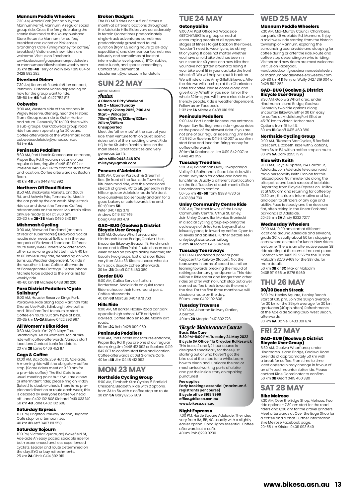#### **Mannum Peddle Wheelers**

7:30 AM, Arnold Park (car park by the Mannum Ferry), Mannum. A regular social group ride. Cross the ferry, ride along the scenic river road to the Younghusband Store. Return to Mannum for coffee/ breakfast and a chat at Picklemee Grandma's Cafe. (Bring money for coffee/ breakfast). Visitors and new riders are welcome. Visit us on Facebook. www.facebook.com/groups/mannumpedalwheelers or mannumpeddlewheelers.weebly.com 35 km **2B-4B** Terry or Wally 0427 319 004 or 0428 592 282

#### **Riverland Riders**

7:30 AM, Renmark Fountain/Lion car park, Renmark. Distance varies depending on how far the group want to ride. 35-50 km **6B** Ruth 0427 752 815

#### **Cobwebs**

8:00 AM, Western side of the car park in Wigley Reserve, Glenelg, near the Historic Tram. Group road ride to Outer Harbor and return. Generally 70 to 100 riders with 6 sub-groups. Our Cobwebs group road ride has been operating for 20 years. Coffee afterwards at the Watermark Hotel. cobwebsadelaide@yahoo.com.au 54 km **6A**

#### **Peninsula Pedallers**

8:30 AM, Port Lincoln Racecourse entrance, Proper Bay Rd. If you are not one of our regular riders, ring Jim 0448 412 992 or Raelene 0419 842 007 to confirm start time and location. Coffee afterwards at Boston Bean.

40 km **4B** Jim 0448 412 992

#### **Northern Off Road Riders**

8:50 AM, Brickworks Markets, cnr. South Rd. and Ashwin Pde, Torrensville. Meet in the car park by the car wash. Single track ride up and down the Torrens. Coffee/ refreshments on the coast. Mountain bikes only. Be ready to roll at 9:00 am. 20-30 km **2B-3B** Mark 0490 340 167

#### **Mishmash Cycling**

9:00 AM, Birdwood Foodland (car park at rear of supermarket) Birdwood. Social roadie ride meets at 8:45 am in the rear car park of Birdwood Foodland. Different route every week. Riders look after each other so no-one gets left behind. A 40 km to 60 km leisurely ride, depending on who turns up. Weather dependent. No ride if the weather is bad. Coffee afterwards at Pomegranate Cottage. Please 'phone Michele to be added to the email list for weekly ride.

40-60 km **3B** Michele 0438 010 220

## **Para District Pedallers 'Cycle Salisbury'** 9:00 AM, Hausler Reserve, Kings Park,

Paralowie. Ride along Tapa Martinthi Yala Shared Use Path, Edinburgh bike paths and Little Para Trail to return to start. Coffee en route. Suit any type of bike. 30-35 km **1A-2A** Elaine 0422 393 997

#### **All Women's Bike Rides**

9:30 AM, Cycle On' 2/19 Albyn Tce, Strathalbyn. An all women's social bike ride with coffee afterwards. Various start locations Contact Lanie for details. 20 km **2B** Lanie 0406 452 117

**Cogs & Coffee** 10:00 AM, Bici Café, 259 Hutt St, Adelaide. A morning ride with the obligatory coffee stop. (Some riders meet at 9.30 am for a pre-ride coffee). The Bici Cafe is our usual meeting point but if you are a new or intermittent rider, please ring on Friday (latest) to double-check. There is no preplanned direction or route each week; this<br>is decided by everyone before we bead is decided by everyone before we head off. Jane 0402 102 608 Richard 0419 033 140 50 km **4B** Jane 0402 102 608

#### **Saturday Express**

1:00 PM, Brighton Railway Station, Brighton. Café stop for afternoon tea. 40 km **3B** Jeff 0407 191 958

#### **Saturday Sojourn**

1:00 PM, Victoria Square, adj Wakefield St, Adelaide An easy paced, sociable ride for both experienced and less experienced cyclists. Leader and route determined on the day. BYO or buy refreshments. 25 km **2A** Chris 0414 802 919

#### **Broken Gadgets**

The BG MTB rides occur 2 or 3 times a month at different locations throughout the Adelaide Hills. Rides vary considerably in terrain (sometimes predominately single-track adventures, sometimes predominately gravel road tours), duration (from 1.5 riding hours to all-day expeditions) and demeanour (sometimes leisurely and sometimes at least at intermediate level speeds). BYO nibbles water, lunch, and spares accordingly. Contact Stu Clement at stu.clement@yahoo.com for details

#### **SUN 22 MAY** ADVERTISEMENT

Audax **A Clean or Dirty Weekend Mk 2 – Mixed Sunday Sunday 22 May 2022, 7:00 AM Start – Willaston 70km/100km/123km/132km 201km/205km**

#### **Unsupported**

Meet the 'other mob' at the start of your ride, then venture forth on quiet, scenic rides north of the 'madding crowd'. Ride HQ is the Sir John Franklin Hotel on the main street. Great facilities and very generous tariffs.

**John Mills 0448 248 974 millsyok@gmail.com**

#### **Poseurs d'Adelaide**

8:00 AM, Corner Portrush & Greenhill Rds. (in front of the Burnside Town Hall). Bitumen road ride, with the occasional stretch of gravel, 4C to 5B, generally in the hills or quieter Adelaide roads. We don't take ourselves too seriously and aim for a good bakery or cafe towards the end. 60-80 km **5B** Peter 0407 182 376

Andrew 0419 817 749 Doug 0419 813 479

# **GAD-BUG (Goolwa & District**

**Bicycle User Group)** 8:30 AM, Goolwa Wharf area, under Hindmarsh Island Bridge, Goolwa. Uses Encounter Bikeway, Beacon 19, Hindmarsh Island and Laffins Point. Route chosen each week based on group's ability, weather, etc. Usually two groups, fast and slow. Rides vary from 1A to 3B. Riders choose when to turn back. Usually coffee afterwards. 30 km **2B** Geoff 0415 460 380

#### **Border BUG**

9:00 AM, Caltex Service Station, Bordertown. Social ride on quiet roads. Riders choose their turnaround point. Coffee afterwards. 40 km **6B** Marcus 0407 978 763

#### **Hills Ride**

9:00 AM, Mt Barker. Flaxley Road car park opposite high school. MTB or Hybrid advised. Coffee stop en route. Mainly dirt roads.

50 km **2C** Rob 0428 990 059

#### **Peninsula Pedallers**

9:00 AM, Port Lincoln Racecourse entrance, Proper Bay Rd. If you are one of our regular riders, ring Jim 0448 412 992 or Raelene 0419 842 007 to confirm start time and location. Coffee afterwards at Del Giorno's Café. 40 km **4B** Jim 0448 412 992

# **MON 23 MAY**

**Northside Cycling Group**<br>9:00 AM, Elizabeth Star Cycles, 5 Barfield<br>Crescent, Elizabeth. Ride with 2 options,<br>from 3A to 5A with a coffee stop en route. 30 km **5A** Gary 8255 1979

# **TUE 24 MAY**

#### **Getonyabike**

9:00 AM, Post Office Rd, Woodside. GETONYABIKE is a group aimed at encouraging people of all ages and stages of fitness to get back on their bikes. You don't need to wear lycra, be skinny, fit or young. It does not matter whether you have an old bike that has been in your shed for 40 years or a new bike that you have not gotten around to riding. If your bike wont fit in your car, take the front wheel off. We will help you put it back on. We will ride on the Amy Gillett Bikeway. After the ride we will catch up at the Charleston Hotel for coffee. Please come along and give it a try. Whether you ride 1 km or the whole 32 kms, you will have a nice ride with friendly people. Ride is weather dependent. Follow us on Facebook. 1-32 km **1A** Michele 0438 010 220

#### **Peninsula Pedallers**

9:00 AM, Port Lincoln Racecourse entrance, Proper Bay Rd. Beginners ride - group rides at the pace of the slowest rider. If you are not one of our regular riders, ring Jim 0448 412 992 or Raelene 0419 842 007 to confirm start time and location. Bring money for coffee afterwards.

30 km **1A** Raelene or Jim 0419 842 007 or 0448 412 992

#### **Tuesday Treadlers**

9:30 AM, Balhannah Oval, Onkaparinga Valley Rd, Balhannah. Road bike ride, with a mid-way stop for coffee and back by lunchtime. Usually a different start location on the first Tuesday of each month. Ride Coordinator to confirm. 50-55 km **4B-5B** Tony 8388 4730 or 0407 884 730

#### **Unley Community Centre Ride**

9:30 AM, The front lawns of the Unley<br>Community Centre, Arthur St, Unley Community Centre, Arthur St, Unley. Join Unley Councillor Monica Broniecki in a social cycling group exploring the cycleways of Unley (and beyond) at a leisurely pace, followed by coffee. Open to all levels and abilities. Further details see unleybug1.wixsite.comu/bug 15 km **1A** Monica 0415 042 468

#### **Tuesday Tearaways**

10:00 AM, Goodwood pool car park (adjacent to Railway Station). Not the tearaways in terms of speed but rather leaning towards breaking the mould of retiring sedentary grandparents. This ride will be a little faster and longer than other rides on offer with no lunch stop but a well earned coffee break towards the end of the ride. For the first three months we will decide a route on the day. 50 km Jane 0402 102 608

#### **Tuesday Traverse**

10:00 AM, Alberton Railway Station, Alberton. 40 km **2B** Magda 0417 802 723

#### Bicycle Maintenance Course **Basic Bike Care**

**5:30 PM-8:00 PM, Tuesday 24 May 2022 Bicycle SA Office, 11a Croydon Rd Keswick** This basic 2 and 1/2 hour course is designed specifically for those just starting out or who haven't got the bike out of the shed for a while. Learn how to clean and lubricate the major mechanical working parts of a bike and get the inside story on repairing punctures!

**Fee applies**

**Early bookings essential (maximum 6 registrants per course) Bicycle office 8168 9999 office@bikesa.asn.au [www.bikesa.asn.au](http://www.bikesa.asn.au)**

#### **Night Espresso**

7:00 PM, Hurtle Square Adelaide. The rides vary from 6A, 5B, 4C usually with a slightly easier option. Good lights essential. Coffee afterwards at a café. 40 km Rob 8299 0230

# **WED 25 MAY**

#### **Mannum Peddle Wheelers**

7:30 AM, Mid-Murray Council Chambers, car park, 49 Adelaide Rd, Mannum. Enjoy a mid-week ride starting from the histo township of Mannum, exploring the surrounding countryside and stopping for coffee during or after the ride. Route and coffee stop depending on who is riding. Visitors and new riders are most welcome. Visit us on Facebook.

www.facebook.com/groups/mannumpedalwheelers or mannumpeddlewheelers.weebly.com 50-80 km **4B** Terry or Wally 0427 319 004 or 0428 592 282

# **GAD-BUG (Goolwa & District Bicycle User Group)**

8:30 AM, Goolwa Wharf area, under Hindmarsh Island Bridge, Goolwa. Generally two ride options along Encounter Bikeway. Either 30 km easy for coffee at Middleton/Port Elliot or 45-70 km to Victor Harbor area. Options from 1B to 4B. 30 km **1B** Geoff 0415 460 380

#### **Northside Cycling Group**

9:00 AM, Elizabeth Star Cycles, 5 Barfield Crescent, Elizabeth. Ride with 2 options, from 3A to 5A with a coffee stop en route. 30 km **5A** Gary 8255 1979

#### **Ride with Keith**

9:00 AM, Bicycle Express, 124 Halifax St, Adelaide. Join Adelaide television and radio personality Keith Conlon for this relaxed pace, 90 minute ride along the bike paths and back streets of Adelaide. Departing from Bicycle Express on Halifax St at 9:00 am and returning for coffee by 10:30 am, this ride is informative and fun, and open to all riders of any age and ability. Pace is steady and the rides are flat, often taking in the Linear Park and parklands of Adelaide. 20-25 km **3A** Andy 8232 7277

#### **Wednesday Wheelers**

10:00 AM, 10:00 am start at different locations around Adelaide and environs, grade 3C, usually about 50 km, stopping somewhere en route for lunch. New riders welcome. There is an alternative easier 3B ride starting at the same time and place. Contact Max 0405 191 955 for the 3C ride Malcolm 8276 9469 for the 3B ride, for more details.

50 km **3B** or **3C** Max or Malcolm 0405 191 955 or 8276 9469

## **THU 26 MAY 30/30 Beach Streak**

6:00 PM, Henley Square, Henley Beach. Start at 6:15 pm. Join the 30kph average for 30 km or the 35kph average for 30 km graduates (40kph often). Refreshments at the Adelaide Sailing Club, West Beach, afterwards. 30 km **6A** Daniel 0433 391 674

**FRI 27 MAY**

#### **GAD-BUG (Goolwa & District Bicycle User Group)**

Hindmarsh Island Bridge, Goolwa. Road bike ride of approximately 50 km with a break for coffee. From time to time location/terrain may change in favour of an off-road mountain bike ride. Please contact Ride Coordinator to confirm. 50 km **3B** Geoff 0415 460 380 8:30 AM, Goolwa Wharf area, under

#### **SAT 28 MAY Bike Melrose**

7:30 AM, Over the Edge Shop, Melrose. Two ride options - 7:30 am start for the road riders and 8:30 am for the gravel grinders. Meet afterwards at Over the Edge Shop for a coffee and a chat. Further information - Bike Melrose Facebook page. 20-55 km Kristen 0409 093 649